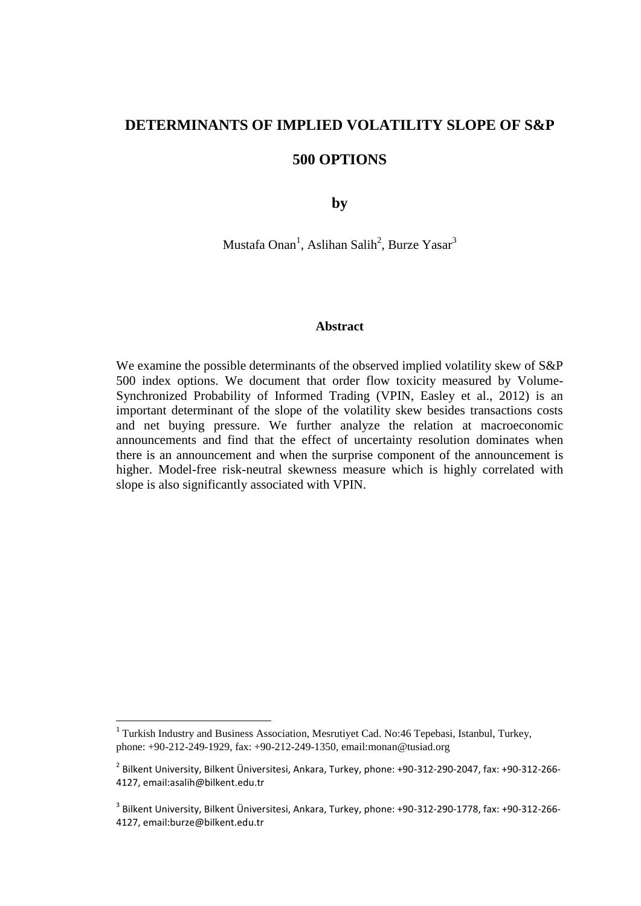# **DETERMINANTS OF IMPLIED VOLATILITY SLOPE OF S&P**

# **500 OPTIONS**

**by** 

Mustafa Onan<sup>1</sup>, Aslihan Salih<sup>2</sup>, Burze Yasar<sup>3</sup>

### **Abstract**

We examine the possible determinants of the observed implied volatility skew of S&P 500 index options. We document that order flow toxicity measured by Volume-Synchronized Probability of Informed Trading (VPIN, Easley et al., 2012) is an important determinant of the slope of the volatility skew besides transactions costs and net buying pressure. We further analyze the relation at macroeconomic announcements and find that the effect of uncertainty resolution dominates when there is an announcement and when the surprise component of the announcement is higher. Model-free risk-neutral skewness measure which is highly correlated with slope is also significantly associated with VPIN.

1

<sup>&</sup>lt;sup>1</sup> Turkish Industry and Business Association, Mesrutiyet Cad. No:46 Tepebasi, Istanbul, Turkey, phone: +90-212-249-1929, fax: +90-212-249-1350, email:monan@tusiad.org

<sup>2</sup> Bilkent University, Bilkent Üniversitesi, Ankara, Turkey, phone: +90-312-290-2047, fax: +90-312-266- 4127, email:asalih@bilkent.edu.tr

<sup>3</sup> Bilkent University, Bilkent Üniversitesi, Ankara, Turkey, phone: +90-312-290-1778, fax: +90-312-266- 4127, email:burze@bilkent.edu.tr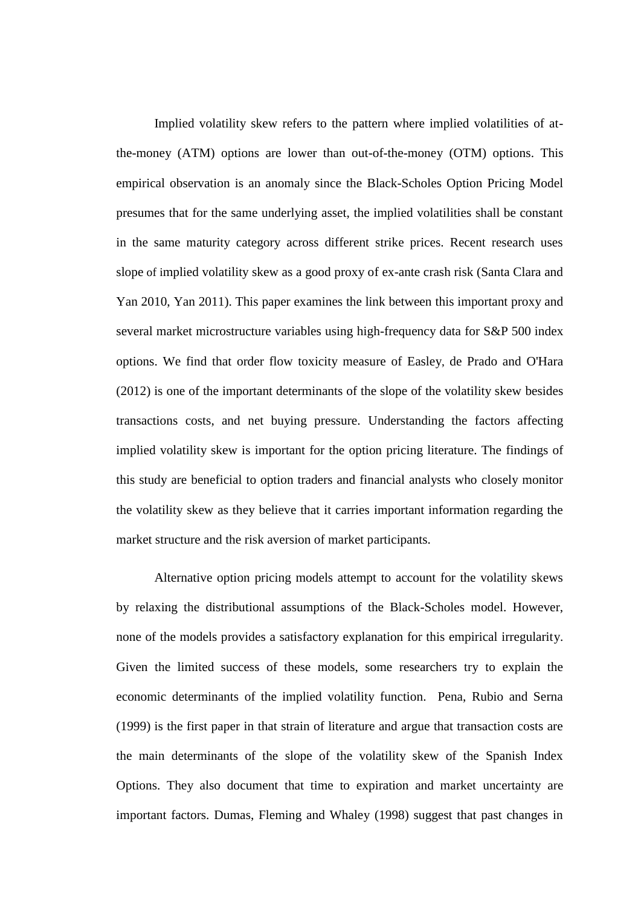Implied volatility skew refers to the pattern where implied volatilities of atthe-money (ATM) options are lower than out-of-the-money (OTM) options. This empirical observation is an anomaly since the Black-Scholes Option Pricing Model presumes that for the same underlying asset, the implied volatilities shall be constant in the same maturity category across different strike prices. Recent research uses slope of implied volatility skew as a good proxy of ex-ante crash risk (Santa Clara and Yan 2010, Yan 2011). This paper examines the link between this important proxy and several market microstructure variables using high-frequency data for S&P 500 index options. We find that order flow toxicity measure of Easley, de Prado and O'Hara (2012) is one of the important determinants of the slope of the volatility skew besides transactions costs, and net buying pressure. Understanding the factors affecting implied volatility skew is important for the option pricing literature. The findings of this study are beneficial to option traders and financial analysts who closely monitor the volatility skew as they believe that it carries important information regarding the market structure and the risk aversion of market participants.

Alternative option pricing models attempt to account for the volatility skews by relaxing the distributional assumptions of the Black-Scholes model. However, none of the models provides a satisfactory explanation for this empirical irregularity. Given the limited success of these models, some researchers try to explain the economic determinants of the implied volatility function. Pena, Rubio and Serna (1999) is the first paper in that strain of literature and argue that transaction costs are the main determinants of the slope of the volatility skew of the Spanish Index Options. They also document that time to expiration and market uncertainty are important factors. Dumas, Fleming and Whaley (1998) suggest that past changes in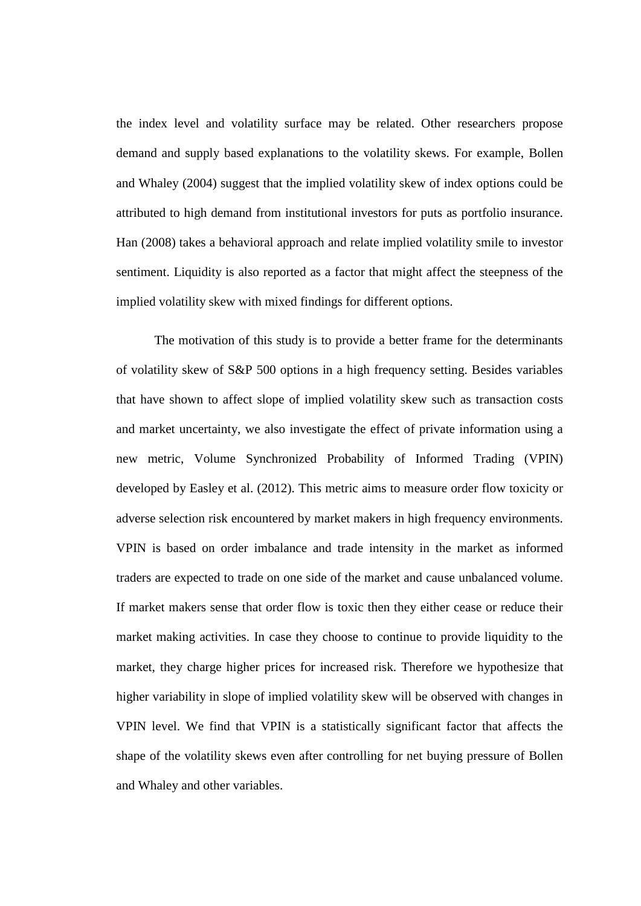the index level and volatility surface may be related. Other researchers propose demand and supply based explanations to the volatility skews. For example, Bollen and Whaley (2004) suggest that the implied volatility skew of index options could be attributed to high demand from institutional investors for puts as portfolio insurance. Han (2008) takes a behavioral approach and relate implied volatility smile to investor sentiment. Liquidity is also reported as a factor that might affect the steepness of the implied volatility skew with mixed findings for different options.

The motivation of this study is to provide a better frame for the determinants of volatility skew of S&P 500 options in a high frequency setting. Besides variables that have shown to affect slope of implied volatility skew such as transaction costs and market uncertainty, we also investigate the effect of private information using a new metric, Volume Synchronized Probability of Informed Trading (VPIN) developed by Easley et al. (2012). This metric aims to measure order flow toxicity or adverse selection risk encountered by market makers in high frequency environments. VPIN is based on order imbalance and trade intensity in the market as informed traders are expected to trade on one side of the market and cause unbalanced volume. If market makers sense that order flow is toxic then they either cease or reduce their market making activities. In case they choose to continue to provide liquidity to the market, they charge higher prices for increased risk. Therefore we hypothesize that higher variability in slope of implied volatility skew will be observed with changes in VPIN level. We find that VPIN is a statistically significant factor that affects the shape of the volatility skews even after controlling for net buying pressure of Bollen and Whaley and other variables.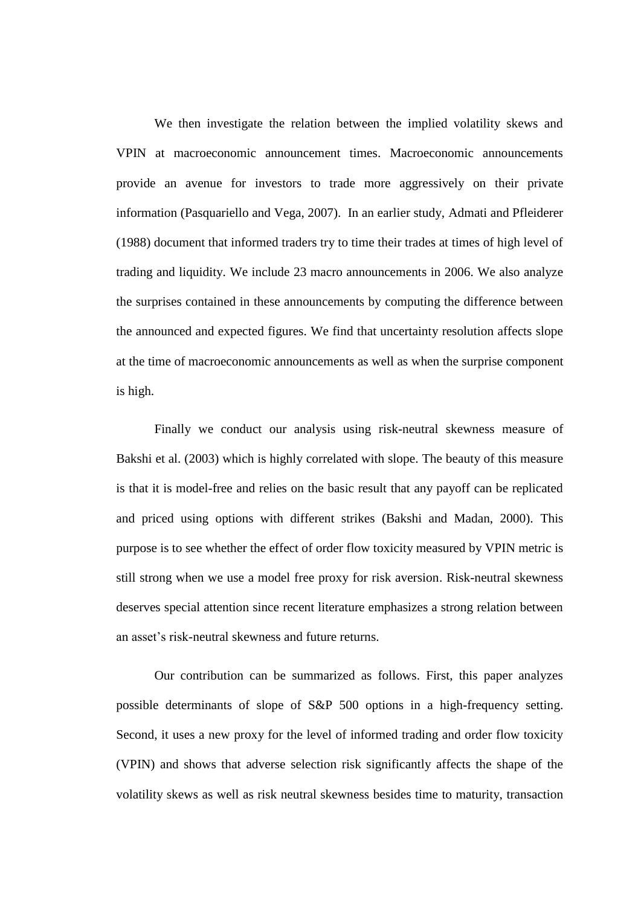We then investigate the relation between the implied volatility skews and VPIN at macroeconomic announcement times. Macroeconomic announcements provide an avenue for investors to trade more aggressively on their private information (Pasquariello and Vega, 2007). In an earlier study, Admati and Pfleiderer (1988) document that informed traders try to time their trades at times of high level of trading and liquidity. We include 23 macro announcements in 2006. We also analyze the surprises contained in these announcements by computing the difference between the announced and expected figures. We find that uncertainty resolution affects slope at the time of macroeconomic announcements as well as when the surprise component is high.

Finally we conduct our analysis using risk-neutral skewness measure of Bakshi et al. (2003) which is highly correlated with slope. The beauty of this measure is that it is model-free and relies on the basic result that any payoff can be replicated and priced using options with different strikes (Bakshi and Madan, 2000). This purpose is to see whether the effect of order flow toxicity measured by VPIN metric is still strong when we use a model free proxy for risk aversion. Risk-neutral skewness deserves special attention since recent literature emphasizes a strong relation between an asset's risk-neutral skewness and future returns.

Our contribution can be summarized as follows. First, this paper analyzes possible determinants of slope of S&P 500 options in a high-frequency setting. Second, it uses a new proxy for the level of informed trading and order flow toxicity (VPIN) and shows that adverse selection risk significantly affects the shape of the volatility skews as well as risk neutral skewness besides time to maturity, transaction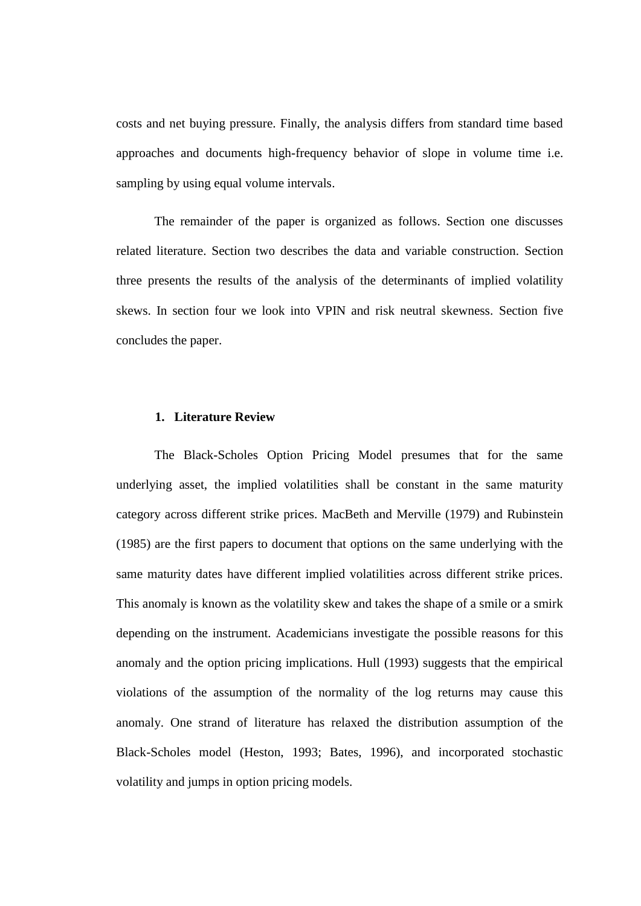costs and net buying pressure. Finally, the analysis differs from standard time based approaches and documents high-frequency behavior of slope in volume time i.e. sampling by using equal volume intervals.

The remainder of the paper is organized as follows. Section one discusses related literature. Section two describes the data and variable construction. Section three presents the results of the analysis of the determinants of implied volatility skews. In section four we look into VPIN and risk neutral skewness. Section five concludes the paper.

### **1. Literature Review**

The Black-Scholes Option Pricing Model presumes that for the same underlying asset, the implied volatilities shall be constant in the same maturity category across different strike prices. MacBeth and Merville (1979) and Rubinstein (1985) are the first papers to document that options on the same underlying with the same maturity dates have different implied volatilities across different strike prices. This anomaly is known as the volatility skew and takes the shape of a smile or a smirk depending on the instrument. Academicians investigate the possible reasons for this anomaly and the option pricing implications. Hull (1993) suggests that the empirical violations of the assumption of the normality of the log returns may cause this anomaly. One strand of literature has relaxed the distribution assumption of the Black-Scholes model (Heston, 1993; Bates, 1996), and incorporated stochastic volatility and jumps in option pricing models.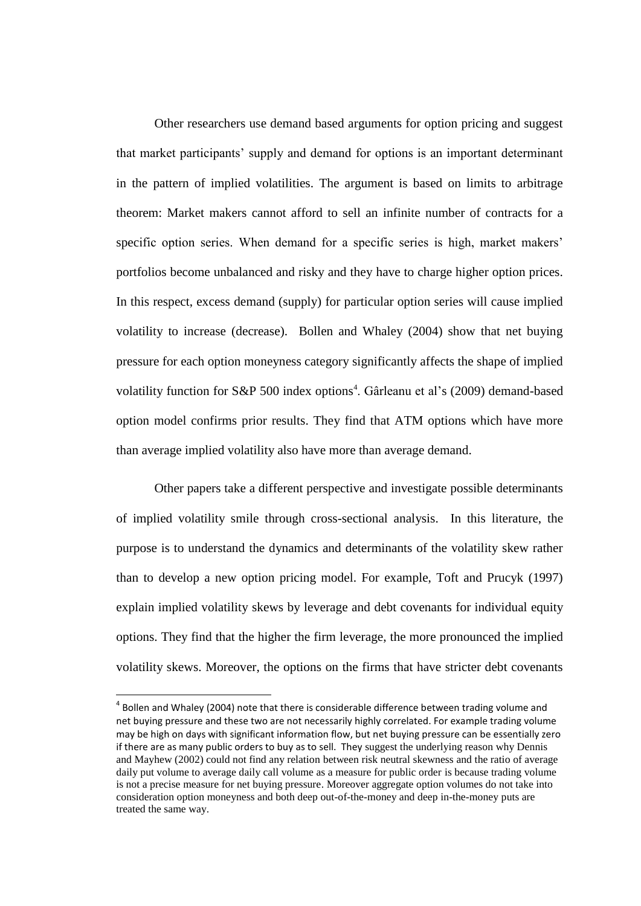Other researchers use demand based arguments for option pricing and suggest that market participants' supply and demand for options is an important determinant in the pattern of implied volatilities. The argument is based on limits to arbitrage theorem: Market makers cannot afford to sell an infinite number of contracts for a specific option series. When demand for a specific series is high, market makers' portfolios become unbalanced and risky and they have to charge higher option prices. In this respect, excess demand (supply) for particular option series will cause implied volatility to increase (decrease). Bollen and Whaley (2004) show that net buying pressure for each option moneyness category significantly affects the shape of implied volatility function for S&P 500 index options<sup>4</sup>. Gârleanu et al's (2009) demand-based option model confirms prior results. They find that ATM options which have more than average implied volatility also have more than average demand.

Other papers take a different perspective and investigate possible determinants of implied volatility smile through cross-sectional analysis. In this literature, the purpose is to understand the dynamics and determinants of the volatility skew rather than to develop a new option pricing model. For example, Toft and Prucyk (1997) explain implied volatility skews by leverage and debt covenants for individual equity options. They find that the higher the firm leverage, the more pronounced the implied volatility skews. Moreover, the options on the firms that have stricter debt covenants

**.** 

 $<sup>4</sup>$  Bollen and Whaley (2004) note that there is considerable difference between trading volume and</sup> net buying pressure and these two are not necessarily highly correlated. For example trading volume may be high on days with significant information flow, but net buying pressure can be essentially zero if there are as many public orders to buy as to sell. They suggest the underlying reason why Dennis and Mayhew (2002) could not find any relation between risk neutral skewness and the ratio of average daily put volume to average daily call volume as a measure for public order is because trading volume is not a precise measure for net buying pressure. Moreover aggregate option volumes do not take into consideration option moneyness and both deep out-of-the-money and deep in-the-money puts are treated the same way.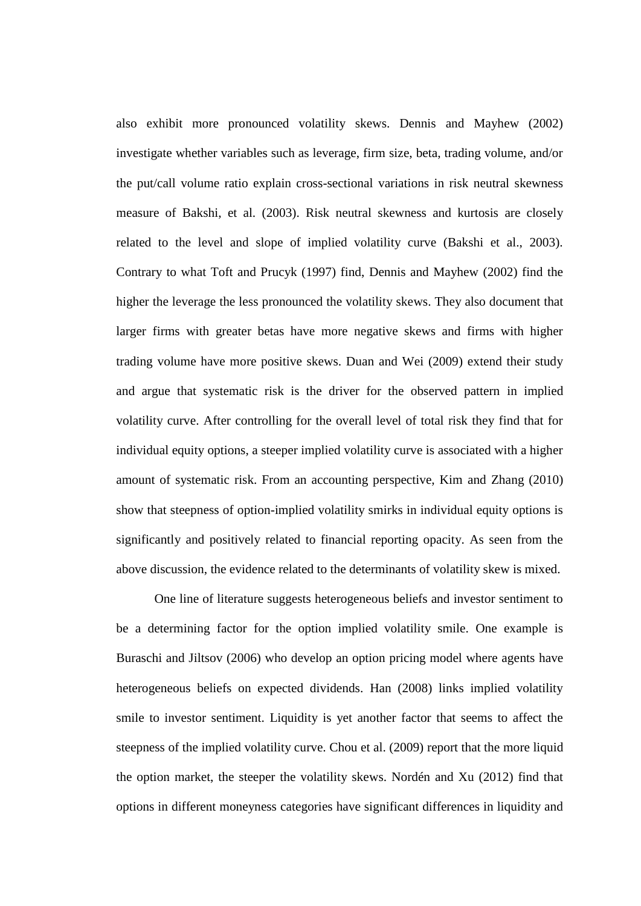also exhibit more pronounced volatility skews. Dennis and Mayhew (2002) investigate whether variables such as leverage, firm size, beta, trading volume, and/or the put/call volume ratio explain cross-sectional variations in risk neutral skewness measure of Bakshi, et al. (2003). Risk neutral skewness and kurtosis are closely related to the level and slope of implied volatility curve (Bakshi et al., 2003). Contrary to what Toft and Prucyk (1997) find, Dennis and Mayhew (2002) find the higher the leverage the less pronounced the volatility skews. They also document that larger firms with greater betas have more negative skews and firms with higher trading volume have more positive skews. Duan and Wei (2009) extend their study and argue that systematic risk is the driver for the observed pattern in implied volatility curve. After controlling for the overall level of total risk they find that for individual equity options, a steeper implied volatility curve is associated with a higher amount of systematic risk. From an accounting perspective, Kim and Zhang (2010) show that steepness of option-implied volatility smirks in individual equity options is significantly and positively related to financial reporting opacity. As seen from the above discussion, the evidence related to the determinants of volatility skew is mixed.

One line of literature suggests heterogeneous beliefs and investor sentiment to be a determining factor for the option implied volatility smile. One example is Buraschi and Jiltsov (2006) who develop an option pricing model where agents have heterogeneous beliefs on expected dividends. Han (2008) links implied volatility smile to investor sentiment. Liquidity is yet another factor that seems to affect the steepness of the implied volatility curve. Chou et al. (2009) report that the more liquid the option market, the steeper the volatility skews. Nordén and Xu (2012) find that options in different moneyness categories have significant differences in liquidity and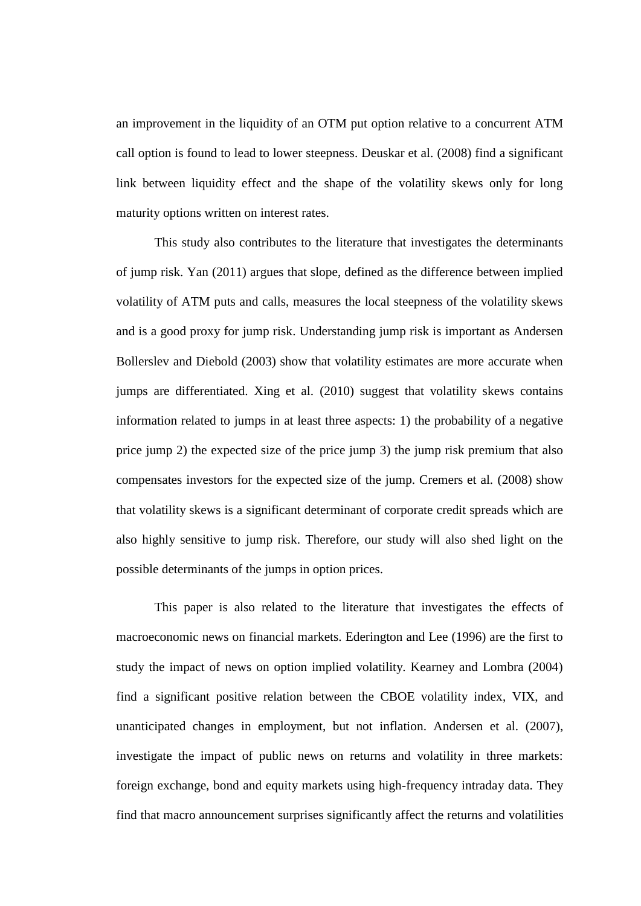an improvement in the liquidity of an OTM put option relative to a concurrent ATM call option is found to lead to lower steepness. Deuskar et al. (2008) find a significant link between liquidity effect and the shape of the volatility skews only for long maturity options written on interest rates.

This study also contributes to the literature that investigates the determinants of jump risk. Yan (2011) argues that slope, defined as the difference between implied volatility of ATM puts and calls, measures the local steepness of the volatility skews and is a good proxy for jump risk. Understanding jump risk is important as Andersen Bollerslev and Diebold (2003) show that volatility estimates are more accurate when jumps are differentiated. Xing et al. (2010) suggest that volatility skews contains information related to jumps in at least three aspects: 1) the probability of a negative price jump 2) the expected size of the price jump 3) the jump risk premium that also compensates investors for the expected size of the jump. Cremers et al. (2008) show that volatility skews is a significant determinant of corporate credit spreads which are also highly sensitive to jump risk. Therefore, our study will also shed light on the possible determinants of the jumps in option prices.

This paper is also related to the literature that investigates the effects of macroeconomic news on financial markets. Ederington and Lee (1996) are the first to study the impact of news on option implied volatility. Kearney and Lombra (2004) find a significant positive relation between the CBOE volatility index, VIX, and unanticipated changes in employment, but not inflation. Andersen et al. (2007), investigate the impact of public news on returns and volatility in three markets: foreign exchange, bond and equity markets using high-frequency intraday data. They find that macro announcement surprises significantly affect the returns and volatilities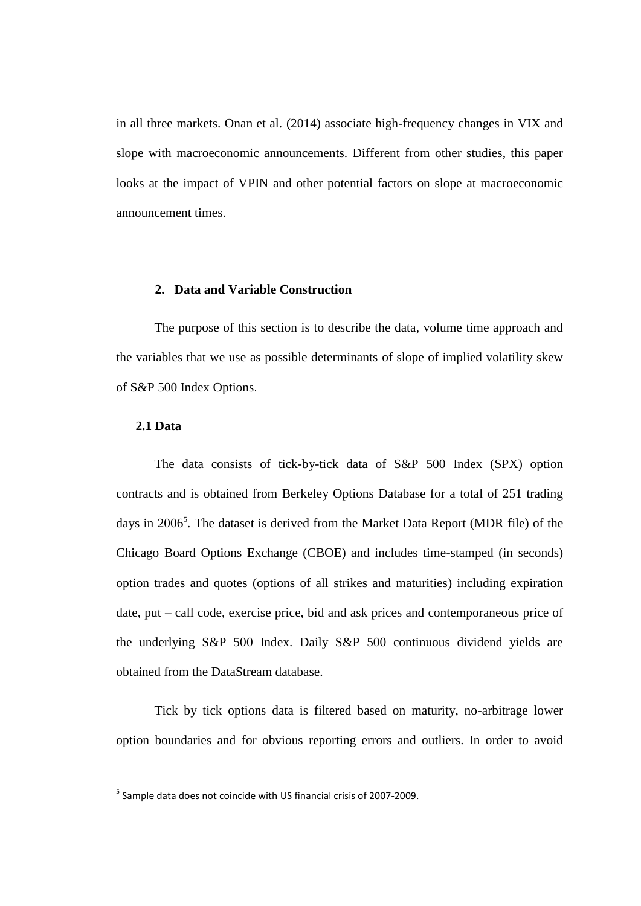in all three markets. Onan et al. (2014) associate high-frequency changes in VIX and slope with macroeconomic announcements. Different from other studies, this paper looks at the impact of VPIN and other potential factors on slope at macroeconomic announcement times.

# **2. Data and Variable Construction**

The purpose of this section is to describe the data, volume time approach and the variables that we use as possible determinants of slope of implied volatility skew of S&P 500 Index Options.

### **2.1 Data**

**.** 

The data consists of tick-by-tick data of S&P 500 Index (SPX) option contracts and is obtained from Berkeley Options Database for a total of 251 trading days in 2006<sup>5</sup>. The dataset is derived from the Market Data Report (MDR file) of the Chicago Board Options Exchange (CBOE) and includes time-stamped (in seconds) option trades and quotes (options of all strikes and maturities) including expiration date, put – call code, exercise price, bid and ask prices and contemporaneous price of the underlying S&P 500 Index. Daily S&P 500 continuous dividend yields are obtained from the DataStream database.

Tick by tick options data is filtered based on maturity, no-arbitrage lower option boundaries and for obvious reporting errors and outliers. In order to avoid

<sup>&</sup>lt;sup>5</sup> Sample data does not coincide with US financial crisis of 2007-2009.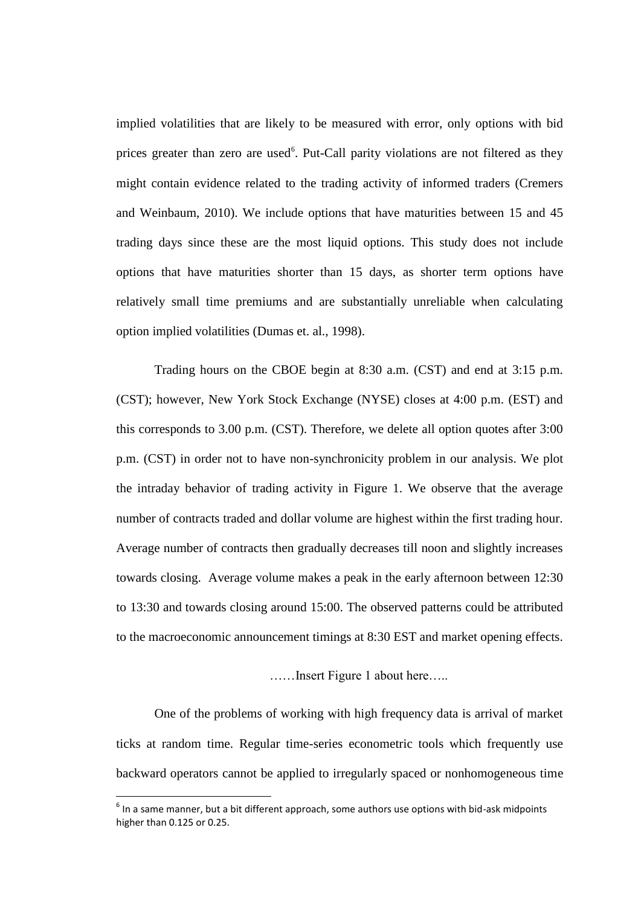implied volatilities that are likely to be measured with error, only options with bid prices greater than zero are used<sup>6</sup>. Put-Call parity violations are not filtered as they might contain evidence related to the trading activity of informed traders (Cremers and Weinbaum, 2010). We include options that have maturities between 15 and 45 trading days since these are the most liquid options. This study does not include options that have maturities shorter than 15 days, as shorter term options have relatively small time premiums and are substantially unreliable when calculating option implied volatilities (Dumas et. al., 1998).

Trading hours on the CBOE begin at 8:30 a.m. (CST) and end at 3:15 p.m. (CST); however, New York Stock Exchange (NYSE) closes at 4:00 p.m. (EST) and this corresponds to 3.00 p.m. (CST). Therefore, we delete all option quotes after 3:00 p.m. (CST) in order not to have non-synchronicity problem in our analysis. We plot the intraday behavior of trading activity in Figure 1. We observe that the average number of contracts traded and dollar volume are highest within the first trading hour. Average number of contracts then gradually decreases till noon and slightly increases towards closing. Average volume makes a peak in the early afternoon between 12:30 to 13:30 and towards closing around 15:00. The observed patterns could be attributed to the macroeconomic announcement timings at 8:30 EST and market opening effects.

……Insert Figure 1 about here…..

One of the problems of working with high frequency data is arrival of market ticks at random time. Regular time-series econometric tools which frequently use backward operators cannot be applied to irregularly spaced or nonhomogeneous time

1

 $<sup>6</sup>$  In a same manner, but a bit different approach, some authors use options with bid-ask midpoints</sup> higher than 0.125 or 0.25.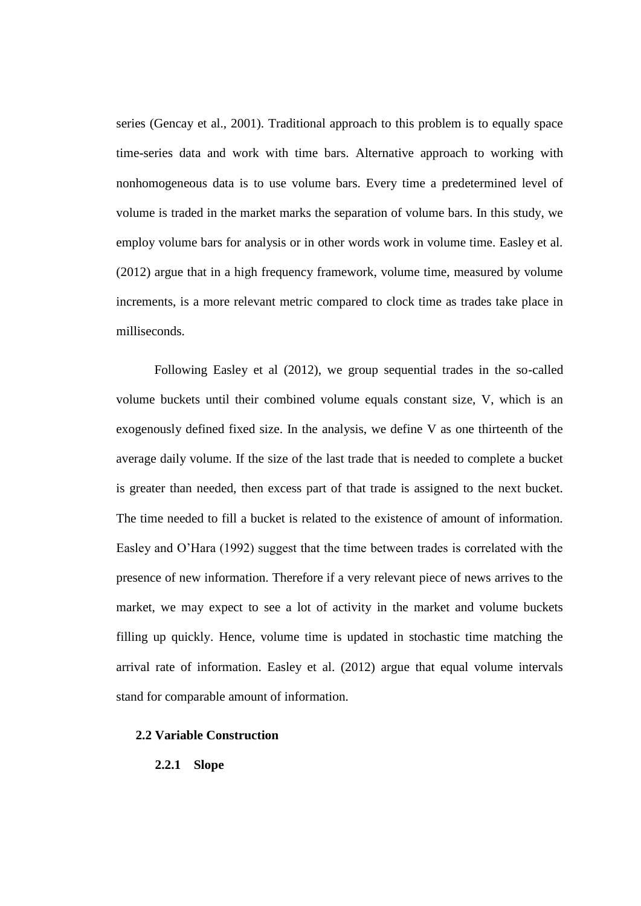series (Gencay et al., 2001). Traditional approach to this problem is to equally space time-series data and work with time bars. Alternative approach to working with nonhomogeneous data is to use volume bars. Every time a predetermined level of volume is traded in the market marks the separation of volume bars. In this study, we employ volume bars for analysis or in other words work in volume time. Easley et al. (2012) argue that in a high frequency framework, volume time, measured by volume increments, is a more relevant metric compared to clock time as trades take place in milliseconds.

Following Easley et al (2012), we group sequential trades in the so-called volume buckets until their combined volume equals constant size, V, which is an exogenously defined fixed size. In the analysis, we define V as one thirteenth of the average daily volume. If the size of the last trade that is needed to complete a bucket is greater than needed, then excess part of that trade is assigned to the next bucket. The time needed to fill a bucket is related to the existence of amount of information. Easley and O'Hara (1992) suggest that the time between trades is correlated with the presence of new information. Therefore if a very relevant piece of news arrives to the market, we may expect to see a lot of activity in the market and volume buckets filling up quickly. Hence, volume time is updated in stochastic time matching the arrival rate of information. Easley et al. (2012) argue that equal volume intervals stand for comparable amount of information.

### **2.2 Variable Construction**

# **2.2.1 Slope**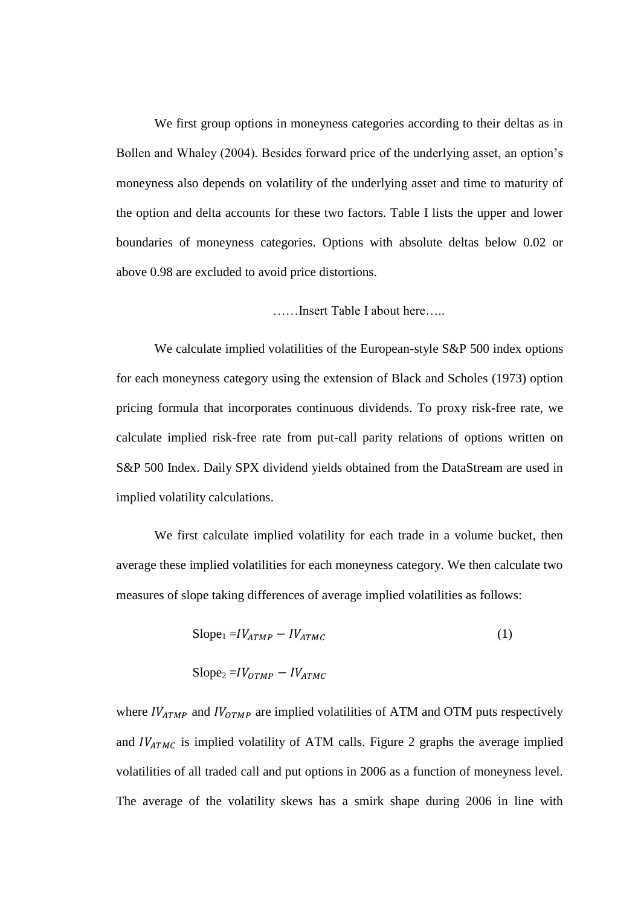We first group options in moneyness categories according to their deltas as in Bollen and Whaley (2004). Besides forward price of the underlying asset, an option's moneyness also depends on volatility of the underlying asset and time to maturity of the option and delta accounts for these two factors. Table I lists the upper and lower boundaries of moneyness categories. Options with absolute deltas below 0.02 or above 0.98 are excluded to avoid price distortions.

……Insert Table I about here…..

We calculate implied volatilities of the European-style S&P 500 index options for each moneyness category using the extension of Black and Scholes (1973) option pricing formula that incorporates continuous dividends. To proxy risk-free rate, we calculate implied risk-free rate from put-call parity relations of options written on S&P 500 Index. Daily SPX dividend yields obtained from the DataStream are used in implied volatility calculations.

We first calculate implied volatility for each trade in a volume bucket, then average these implied volatilities for each moneyness category. We then calculate two measures of slope taking differences of average implied volatilities as follows:

$$
\text{Slope}_1 = IV_{ATMP} - IV_{ATMC} \tag{1}
$$

$$
Slope_2 = IV_{OTMP} - IV_{ATMC}
$$

where  $IV_{ATMP}$  and  $IV_{OTMP}$  are implied volatilities of ATM and OTM puts respectively and  $IV_{ATMC}$  is implied volatility of ATM calls. Figure 2 graphs the average implied volatilities of all traded call and put options in 2006 as a function of moneyness level. The average of the volatility skews has a smirk shape during 2006 in line with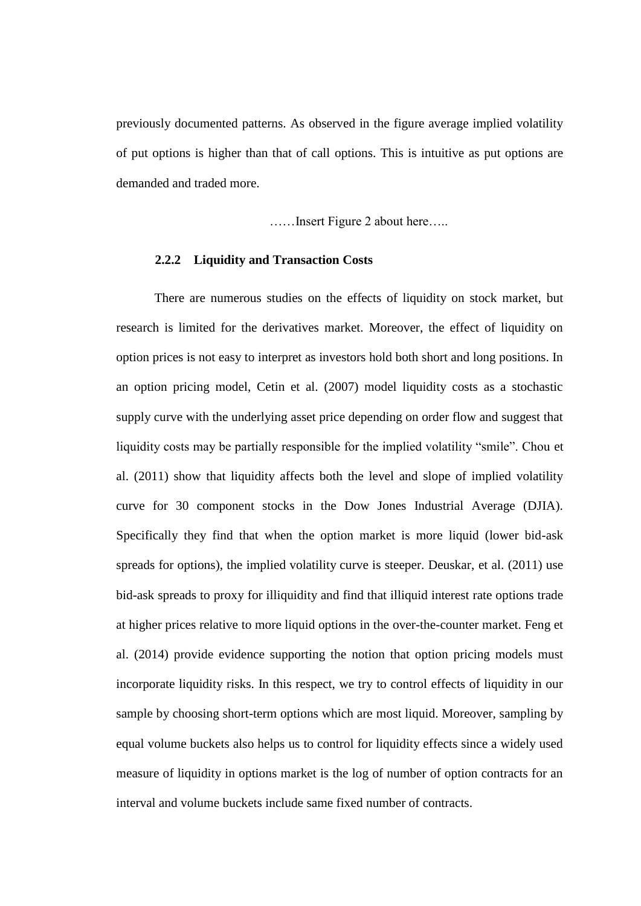previously documented patterns. As observed in the figure average implied volatility of put options is higher than that of call options. This is intuitive as put options are demanded and traded more.

……Insert Figure 2 about here…..

### **2.2.2 Liquidity and Transaction Costs**

There are numerous studies on the effects of liquidity on stock market, but research is limited for the derivatives market. Moreover, the effect of liquidity on option prices is not easy to interpret as investors hold both short and long positions. In an option pricing model, Cetin et al. (2007) model liquidity costs as a stochastic supply curve with the underlying asset price depending on order flow and suggest that liquidity costs may be partially responsible for the implied volatility "smile". Chou et al. (2011) show that liquidity affects both the level and slope of implied volatility curve for 30 component stocks in the Dow Jones Industrial Average (DJIA). Specifically they find that when the option market is more liquid (lower bid-ask spreads for options), the implied volatility curve is steeper. Deuskar, et al. (2011) use bid-ask spreads to proxy for illiquidity and find that illiquid interest rate options trade at higher prices relative to more liquid options in the over-the-counter market. Feng et al. (2014) provide evidence supporting the notion that option pricing models must incorporate liquidity risks. In this respect, we try to control effects of liquidity in our sample by choosing short-term options which are most liquid. Moreover, sampling by equal volume buckets also helps us to control for liquidity effects since a widely used measure of liquidity in options market is the log of number of option contracts for an interval and volume buckets include same fixed number of contracts.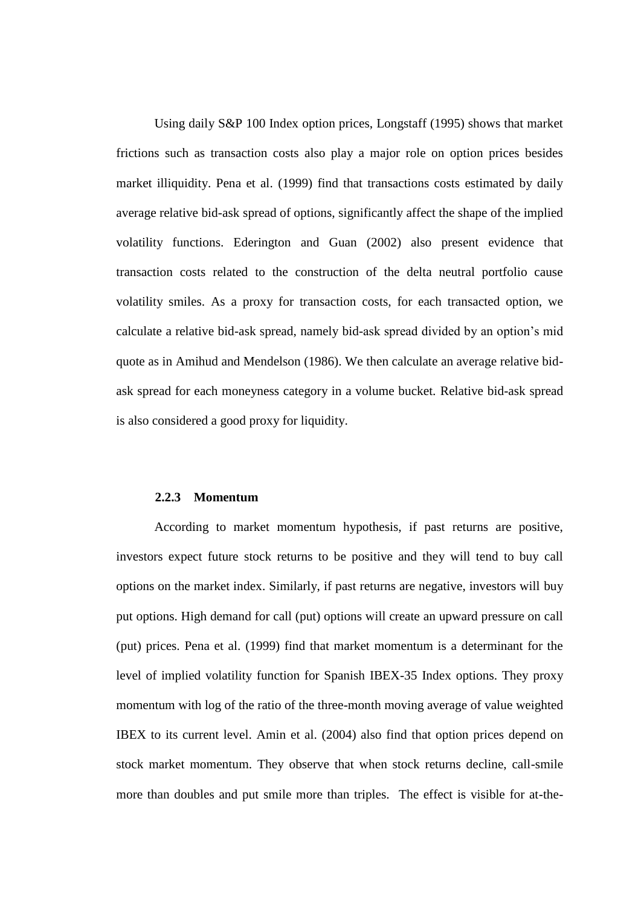Using daily S&P 100 Index option prices, Longstaff (1995) shows that market frictions such as transaction costs also play a major role on option prices besides market illiquidity. Pena et al. (1999) find that transactions costs estimated by daily average relative bid-ask spread of options, significantly affect the shape of the implied volatility functions. Ederington and Guan (2002) also present evidence that transaction costs related to the construction of the delta neutral portfolio cause volatility smiles. As a proxy for transaction costs, for each transacted option, we calculate a relative bid-ask spread, namely bid-ask spread divided by an option's mid quote as in Amihud and Mendelson (1986). We then calculate an average relative bidask spread for each moneyness category in a volume bucket. Relative bid-ask spread is also considered a good proxy for liquidity.

#### **2.2.3 Momentum**

According to market momentum hypothesis, if past returns are positive, investors expect future stock returns to be positive and they will tend to buy call options on the market index. Similarly, if past returns are negative, investors will buy put options. High demand for call (put) options will create an upward pressure on call (put) prices. Pena et al. (1999) find that market momentum is a determinant for the level of implied volatility function for Spanish IBEX-35 Index options. They proxy momentum with log of the ratio of the three-month moving average of value weighted IBEX to its current level. Amin et al. (2004) also find that option prices depend on stock market momentum. They observe that when stock returns decline, call-smile more than doubles and put smile more than triples. The effect is visible for at-the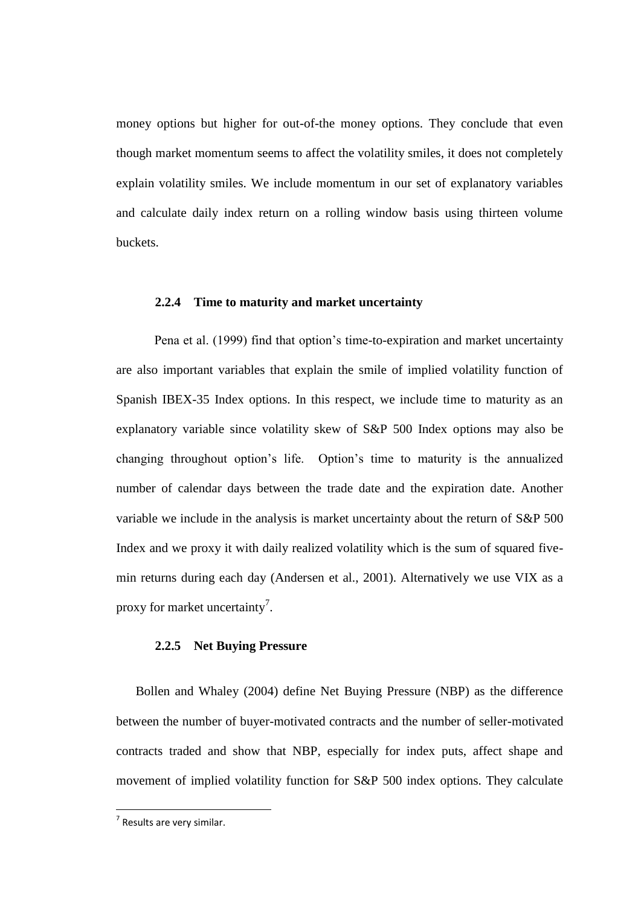money options but higher for out-of-the money options. They conclude that even though market momentum seems to affect the volatility smiles, it does not completely explain volatility smiles. We include momentum in our set of explanatory variables and calculate daily index return on a rolling window basis using thirteen volume buckets.

### **2.2.4 Time to maturity and market uncertainty**

Pena et al. (1999) find that option's time-to-expiration and market uncertainty are also important variables that explain the smile of implied volatility function of Spanish IBEX-35 Index options. In this respect, we include time to maturity as an explanatory variable since volatility skew of S&P 500 Index options may also be changing throughout option's life. Option's time to maturity is the annualized number of calendar days between the trade date and the expiration date. Another variable we include in the analysis is market uncertainty about the return of S&P 500 Index and we proxy it with daily realized volatility which is the sum of squared fivemin returns during each day (Andersen et al., 2001). Alternatively we use VIX as a proxy for market uncertainty<sup>7</sup>.

### **2.2.5 Net Buying Pressure**

Bollen and Whaley (2004) define Net Buying Pressure (NBP) as the difference between the number of buyer-motivated contracts and the number of seller-motivated contracts traded and show that NBP, especially for index puts, affect shape and movement of implied volatility function for S&P 500 index options. They calculate

**.** 

 $<sup>7</sup>$  Results are very similar.</sup>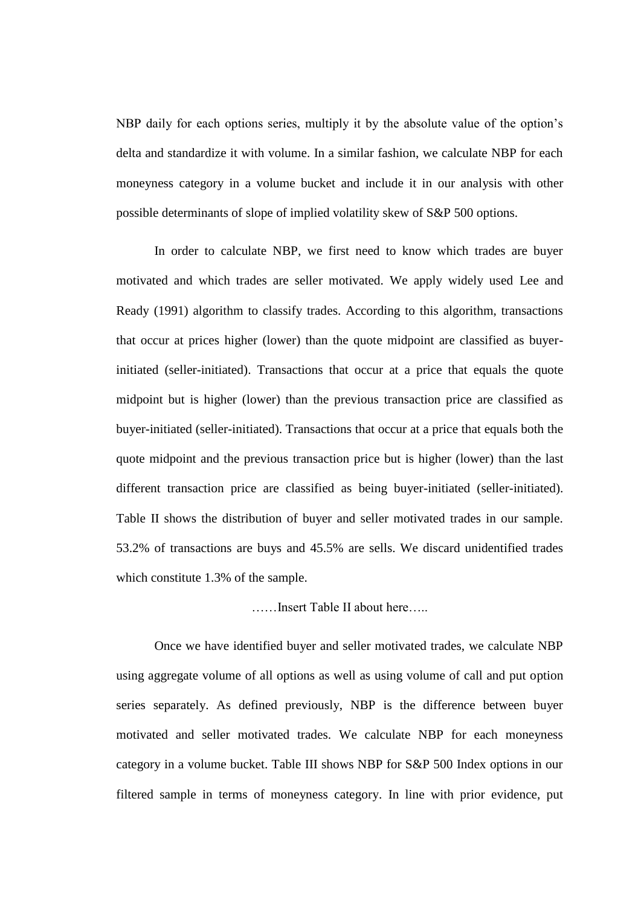NBP daily for each options series, multiply it by the absolute value of the option's delta and standardize it with volume. In a similar fashion, we calculate NBP for each moneyness category in a volume bucket and include it in our analysis with other possible determinants of slope of implied volatility skew of S&P 500 options.

In order to calculate NBP, we first need to know which trades are buyer motivated and which trades are seller motivated. We apply widely used Lee and Ready (1991) algorithm to classify trades. According to this algorithm, transactions that occur at prices higher (lower) than the quote midpoint are classified as buyerinitiated (seller-initiated). Transactions that occur at a price that equals the quote midpoint but is higher (lower) than the previous transaction price are classified as buyer-initiated (seller-initiated). Transactions that occur at a price that equals both the quote midpoint and the previous transaction price but is higher (lower) than the last different transaction price are classified as being buyer-initiated (seller-initiated). Table II shows the distribution of buyer and seller motivated trades in our sample. 53.2% of transactions are buys and 45.5% are sells. We discard unidentified trades which constitute 1.3% of the sample.

# ……Insert Table II about here…..

Once we have identified buyer and seller motivated trades, we calculate NBP using aggregate volume of all options as well as using volume of call and put option series separately. As defined previously, NBP is the difference between buyer motivated and seller motivated trades. We calculate NBP for each moneyness category in a volume bucket. Table III shows NBP for S&P 500 Index options in our filtered sample in terms of moneyness category. In line with prior evidence, put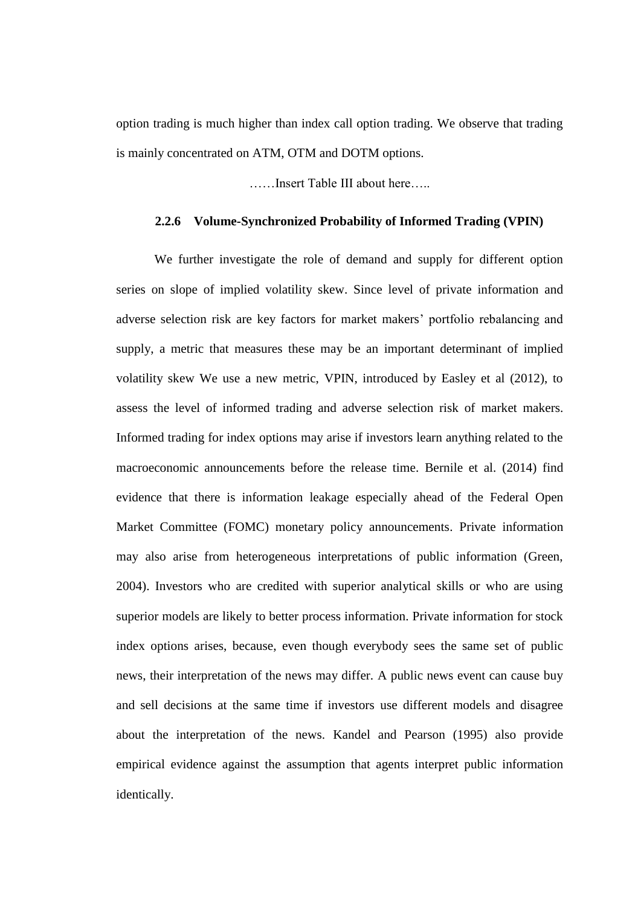option trading is much higher than index call option trading. We observe that trading is mainly concentrated on ATM, OTM and DOTM options.

……Insert Table III about here…..

# **2.2.6 Volume-Synchronized Probability of Informed Trading (VPIN)**

We further investigate the role of demand and supply for different option series on slope of implied volatility skew. Since level of private information and adverse selection risk are key factors for market makers' portfolio rebalancing and supply, a metric that measures these may be an important determinant of implied volatility skew We use a new metric, VPIN, introduced by Easley et al (2012), to assess the level of informed trading and adverse selection risk of market makers. Informed trading for index options may arise if investors learn anything related to the macroeconomic announcements before the release time. Bernile et al. (2014) find evidence that there is information leakage especially ahead of the Federal Open Market Committee (FOMC) monetary policy announcements. Private information may also arise from heterogeneous interpretations of public information (Green, 2004). Investors who are credited with superior analytical skills or who are using superior models are likely to better process information. Private information for stock index options arises, because, even though everybody sees the same set of public news, their interpretation of the news may differ. A public news event can cause buy and sell decisions at the same time if investors use different models and disagree about the interpretation of the news. Kandel and Pearson (1995) also provide empirical evidence against the assumption that agents interpret public information identically.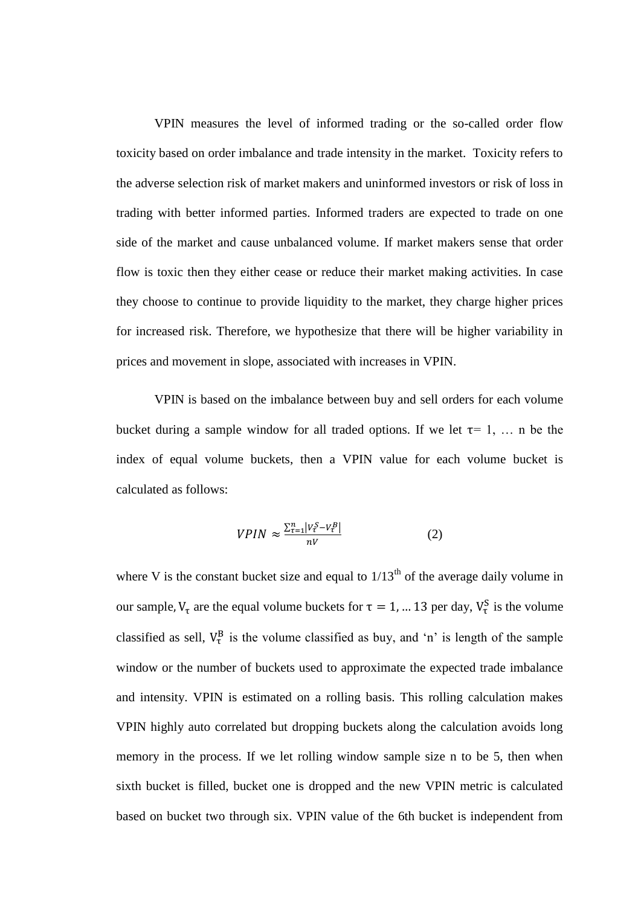VPIN measures the level of informed trading or the so-called order flow toxicity based on order imbalance and trade intensity in the market. Toxicity refers to the adverse selection risk of market makers and uninformed investors or risk of loss in trading with better informed parties. Informed traders are expected to trade on one side of the market and cause unbalanced volume. If market makers sense that order flow is toxic then they either cease or reduce their market making activities. In case they choose to continue to provide liquidity to the market, they charge higher prices for increased risk. Therefore, we hypothesize that there will be higher variability in prices and movement in slope, associated with increases in VPIN.

VPIN is based on the imbalance between buy and sell orders for each volume bucket during a sample window for all traded options. If we let  $\tau = 1, \ldots$  n be the index of equal volume buckets, then a VPIN value for each volume bucket is calculated as follows:

$$
VPIN \approx \frac{\sum_{\tau=1}^{n} |v_{\tau}^{S} - v_{\tau}^{B}|}{nV}
$$
 (2)

where V is the constant bucket size and equal to  $1/13<sup>th</sup>$  of the average daily volume in our sample,  $V_{\tau}$  are the equal volume buckets for  $\tau = 1$ , ... 13 per day,  $V_{\tau}^{S}$  is the volume classified as sell,  $V_{\tau}^{B}$  is the volume classified as buy, and 'n' is length of the sample window or the number of buckets used to approximate the expected trade imbalance and intensity. VPIN is estimated on a rolling basis. This rolling calculation makes VPIN highly auto correlated but dropping buckets along the calculation avoids long memory in the process. If we let rolling window sample size n to be 5, then when sixth bucket is filled, bucket one is dropped and the new VPIN metric is calculated based on bucket two through six. VPIN value of the 6th bucket is independent from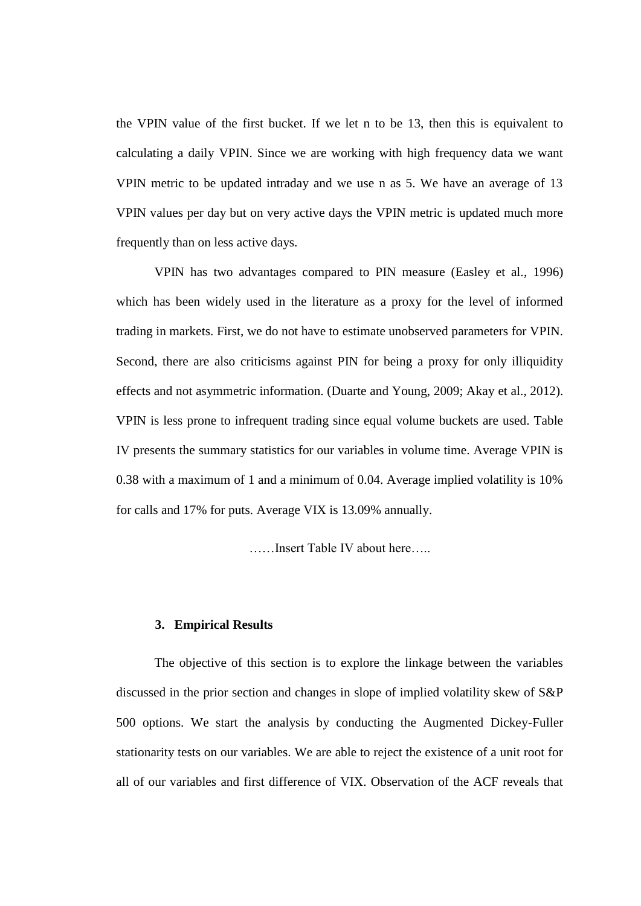the VPIN value of the first bucket. If we let n to be 13, then this is equivalent to calculating a daily VPIN. Since we are working with high frequency data we want VPIN metric to be updated intraday and we use n as 5. We have an average of 13 VPIN values per day but on very active days the VPIN metric is updated much more frequently than on less active days.

VPIN has two advantages compared to PIN measure (Easley et al., 1996) which has been widely used in the literature as a proxy for the level of informed trading in markets. First, we do not have to estimate unobserved parameters for VPIN. Second, there are also criticisms against PIN for being a proxy for only illiquidity effects and not asymmetric information. (Duarte and Young, 2009; Akay et al., 2012). VPIN is less prone to infrequent trading since equal volume buckets are used. Table IV presents the summary statistics for our variables in volume time. Average VPIN is 0.38 with a maximum of 1 and a minimum of 0.04. Average implied volatility is 10% for calls and 17% for puts. Average VIX is 13.09% annually.

……Insert Table IV about here…..

### **3. Empirical Results**

The objective of this section is to explore the linkage between the variables discussed in the prior section and changes in slope of implied volatility skew of S&P 500 options. We start the analysis by conducting the Augmented Dickey-Fuller stationarity tests on our variables. We are able to reject the existence of a unit root for all of our variables and first difference of VIX. Observation of the ACF reveals that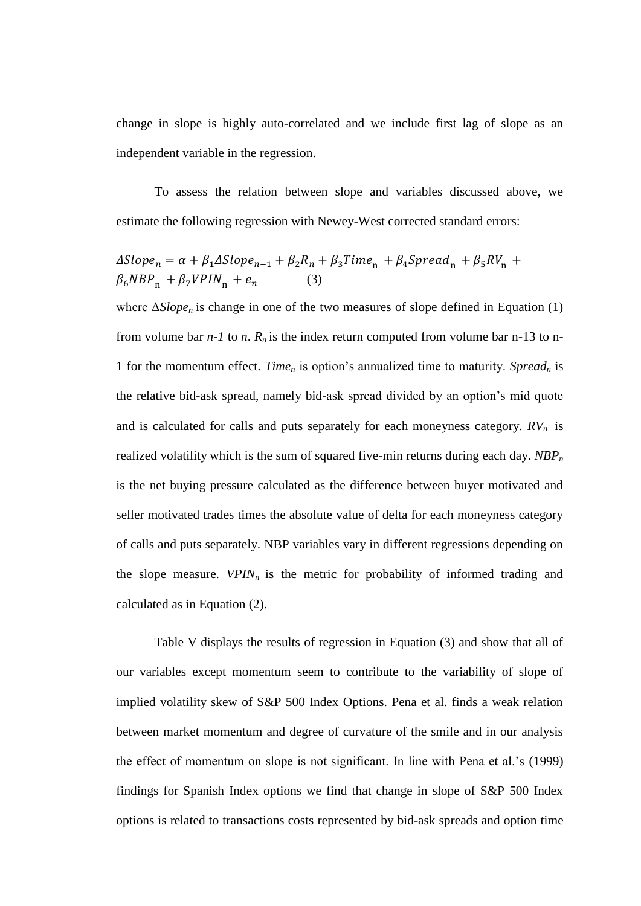change in slope is highly auto-correlated and we include first lag of slope as an independent variable in the regression.

To assess the relation between slope and variables discussed above, we estimate the following regression with Newey-West corrected standard errors:

$$
\Delta Slope_n = \alpha + \beta_1 \Delta Slope_{n-1} + \beta_2 R_n + \beta_3 Time_n + \beta_4 Spread_n + \beta_5 RV_n + \beta_6 NBP_n + \beta_7 VPIN_n + e_n \qquad (3)
$$

where  $\Delta Slope_n$  is change in one of the two measures of slope defined in Equation (1) from volume bar  $n-1$  to  $n$ .  $R_n$  is the index return computed from volume bar n-13 to n-1 for the momentum effect. *Time<sup>n</sup>* is option's annualized time to maturity. *Spread<sup>n</sup>* is the relative bid-ask spread, namely bid-ask spread divided by an option's mid quote and is calculated for calls and puts separately for each moneyness category. *RVn* is realized volatility which is the sum of squared five-min returns during each day. *NBP<sup>n</sup>* is the net buying pressure calculated as the difference between buyer motivated and seller motivated trades times the absolute value of delta for each moneyness category of calls and puts separately. NBP variables vary in different regressions depending on the slope measure.  $VPIN<sub>n</sub>$  is the metric for probability of informed trading and calculated as in Equation (2).

Table V displays the results of regression in Equation (3) and show that all of our variables except momentum seem to contribute to the variability of slope of implied volatility skew of S&P 500 Index Options. Pena et al. finds a weak relation between market momentum and degree of curvature of the smile and in our analysis the effect of momentum on slope is not significant. In line with Pena et al.'s (1999) findings for Spanish Index options we find that change in slope of S&P 500 Index options is related to transactions costs represented by bid-ask spreads and option time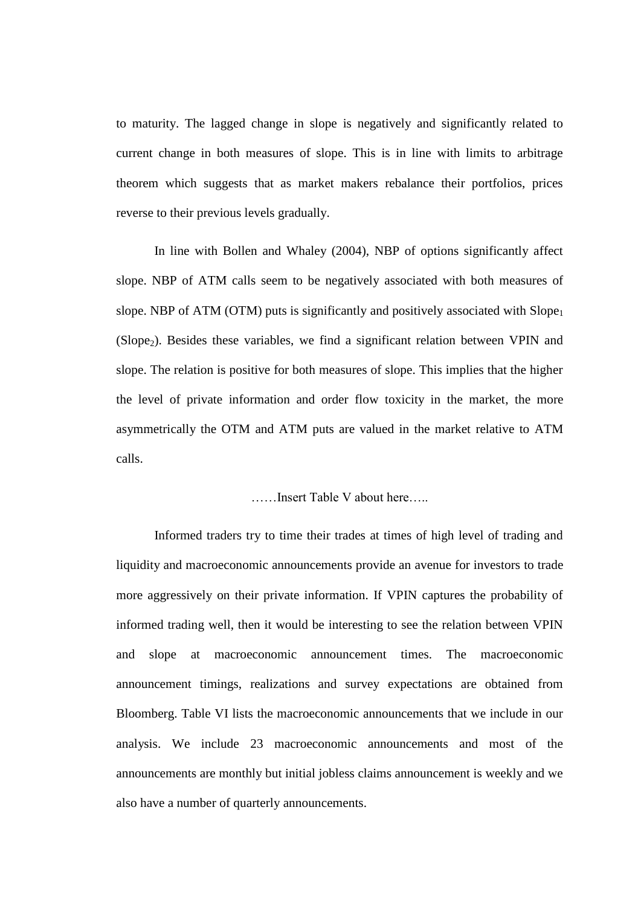to maturity. The lagged change in slope is negatively and significantly related to current change in both measures of slope. This is in line with limits to arbitrage theorem which suggests that as market makers rebalance their portfolios, prices reverse to their previous levels gradually.

In line with Bollen and Whaley (2004), NBP of options significantly affect slope. NBP of ATM calls seem to be negatively associated with both measures of slope. NBP of ATM (OTM) puts is significantly and positively associated with  $Slope<sub>1</sub>$  $(Slope<sub>2</sub>)$ . Besides these variables, we find a significant relation between VPIN and slope. The relation is positive for both measures of slope. This implies that the higher the level of private information and order flow toxicity in the market, the more asymmetrically the OTM and ATM puts are valued in the market relative to ATM calls.

### ……Insert Table V about here…..

Informed traders try to time their trades at times of high level of trading and liquidity and macroeconomic announcements provide an avenue for investors to trade more aggressively on their private information. If VPIN captures the probability of informed trading well, then it would be interesting to see the relation between VPIN and slope at macroeconomic announcement times. The macroeconomic announcement timings, realizations and survey expectations are obtained from Bloomberg. Table VI lists the macroeconomic announcements that we include in our analysis. We include 23 macroeconomic announcements and most of the announcements are monthly but initial jobless claims announcement is weekly and we also have a number of quarterly announcements.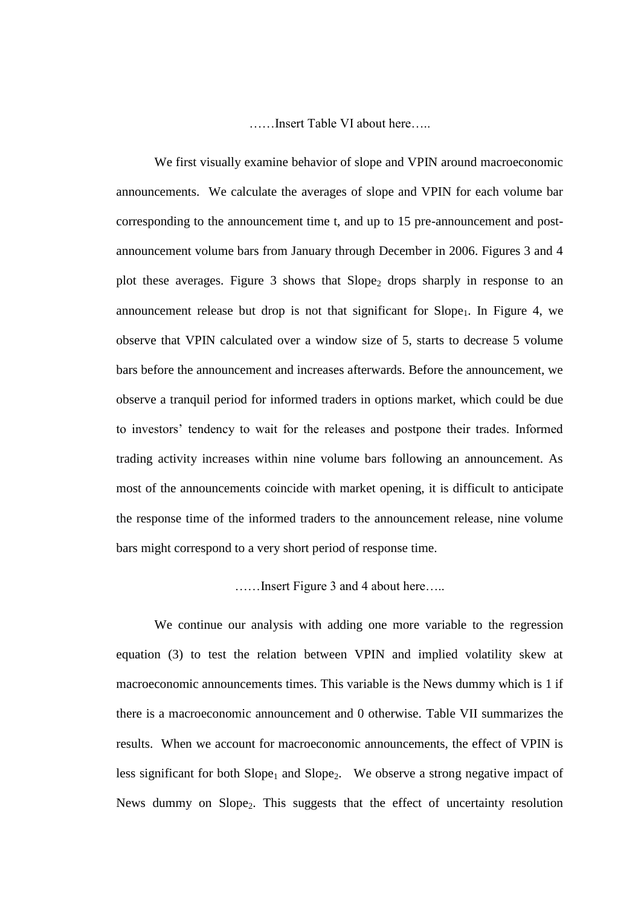……Insert Table VI about here…..

We first visually examine behavior of slope and VPIN around macroeconomic announcements. We calculate the averages of slope and VPIN for each volume bar corresponding to the announcement time t, and up to 15 pre-announcement and postannouncement volume bars from January through December in 2006. Figures 3 and 4 plot these averages. Figure 3 shows that  $Slope_2$  drops sharply in response to an announcement release but drop is not that significant for  $Slope<sub>1</sub>$ . In Figure 4, we observe that VPIN calculated over a window size of 5, starts to decrease 5 volume bars before the announcement and increases afterwards. Before the announcement, we observe a tranquil period for informed traders in options market, which could be due to investors' tendency to wait for the releases and postpone their trades. Informed trading activity increases within nine volume bars following an announcement. As most of the announcements coincide with market opening, it is difficult to anticipate the response time of the informed traders to the announcement release, nine volume bars might correspond to a very short period of response time.

……Insert Figure 3 and 4 about here…..

We continue our analysis with adding one more variable to the regression equation (3) to test the relation between VPIN and implied volatility skew at macroeconomic announcements times. This variable is the News dummy which is 1 if there is a macroeconomic announcement and 0 otherwise. Table VII summarizes the results. When we account for macroeconomic announcements, the effect of VPIN is less significant for both  $Slope_1$  and  $Slope_2$ . We observe a strong negative impact of News dummy on Slope<sub>2</sub>. This suggests that the effect of uncertainty resolution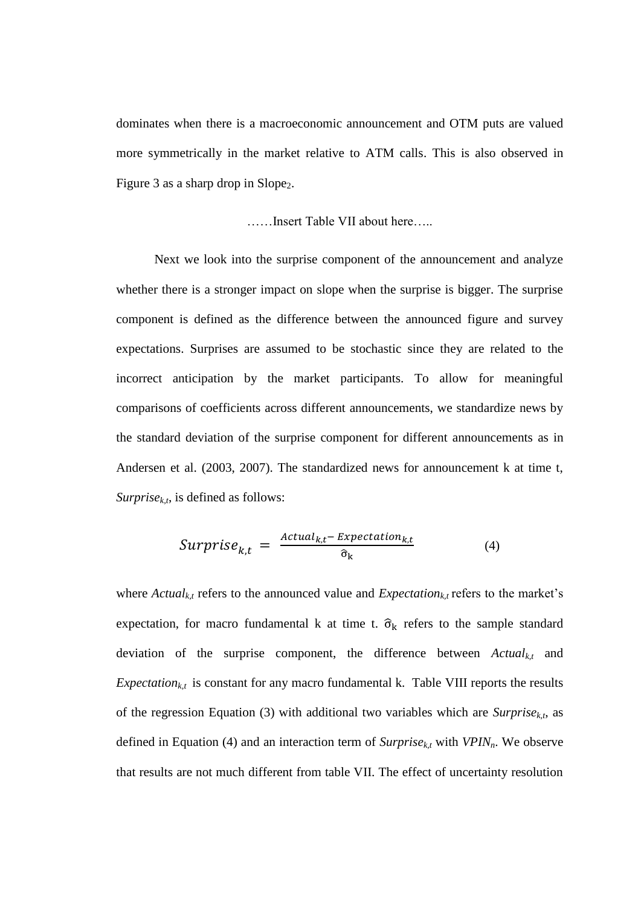dominates when there is a macroeconomic announcement and OTM puts are valued more symmetrically in the market relative to ATM calls. This is also observed in Figure 3 as a sharp drop in Slope<sub>2</sub>.

$$
\ldots
$$
 Insert Table VII about here.

Next we look into the surprise component of the announcement and analyze whether there is a stronger impact on slope when the surprise is bigger. The surprise component is defined as the difference between the announced figure and survey expectations. Surprises are assumed to be stochastic since they are related to the incorrect anticipation by the market participants. To allow for meaningful comparisons of coefficients across different announcements, we standardize news by the standard deviation of the surprise component for different announcements as in Andersen et al. (2003, 2007). The standardized news for announcement k at time t, *Surprise<sub>k,t</sub>*, is defined as follows:

$$
Surprise_{k,t} = \frac{Actual_{k,t} - Expectation_{k,t}}{\hat{\sigma}_k}
$$
(4)

where  $Actual_{k,t}$  refers to the announced value and  $Expectation_{k,t}$  refers to the market's expectation, for macro fundamental k at time t.  $\hat{\sigma}_k$  refers to the sample standard deviation of the surprise component, the difference between *Actualk,t* and *Expectation<sub>k,t</sub>* is constant for any macro fundamental k. Table VIII reports the results of the regression Equation (3) with additional two variables which are  $Surprise_{k,t}$ , as defined in Equation (4) and an interaction term of  $Surprise_{k,t}$  with  $VPIN_n$ . We observe that results are not much different from table VII. The effect of uncertainty resolution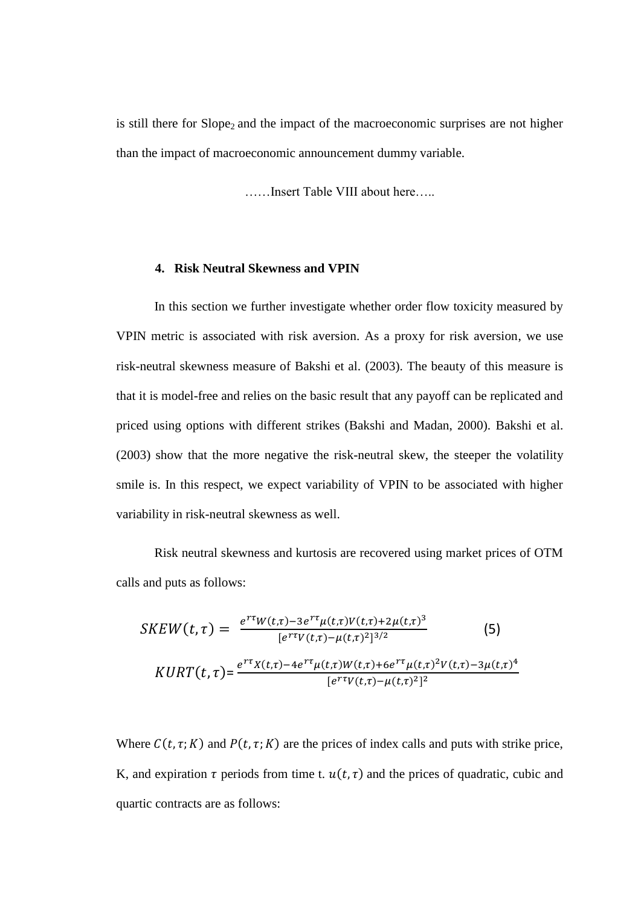is still there for  $Slope_2$  and the impact of the macroeconomic surprises are not higher than the impact of macroeconomic announcement dummy variable.

……Insert Table VIII about here…..

### **4. Risk Neutral Skewness and VPIN**

In this section we further investigate whether order flow toxicity measured by VPIN metric is associated with risk aversion. As a proxy for risk aversion, we use risk-neutral skewness measure of Bakshi et al. (2003). The beauty of this measure is that it is model-free and relies on the basic result that any payoff can be replicated and priced using options with different strikes (Bakshi and Madan, 2000). Bakshi et al. (2003) show that the more negative the risk-neutral skew, the steeper the volatility smile is. In this respect, we expect variability of VPIN to be associated with higher variability in risk-neutral skewness as well.

Risk neutral skewness and kurtosis are recovered using market prices of OTM calls and puts as follows:

$$
SKEW(t,\tau) = \frac{e^{r\tau}W(t,\tau) - 3e^{r\tau}\mu(t,\tau)V(t,\tau) + 2\mu(t,\tau)^3}{[e^{r\tau}V(t,\tau) - \mu(t,\tau)^2]^{3/2}} \tag{5}
$$
\n
$$
KURT(t,\tau) = \frac{e^{r\tau}X(t,\tau) - 4e^{r\tau}\mu(t,\tau)W(t,\tau) + 6e^{r\tau}\mu(t,\tau)^2V(t,\tau) - 3\mu(t,\tau)^4}{[e^{r\tau}V(t,\tau) - \mu(t,\tau)^2]^2}
$$

Where  $C(t, \tau; K)$  and  $P(t, \tau; K)$  are the prices of index calls and puts with strike price, K, and expiration  $\tau$  periods from time t.  $u(t, \tau)$  and the prices of quadratic, cubic and quartic contracts are as follows: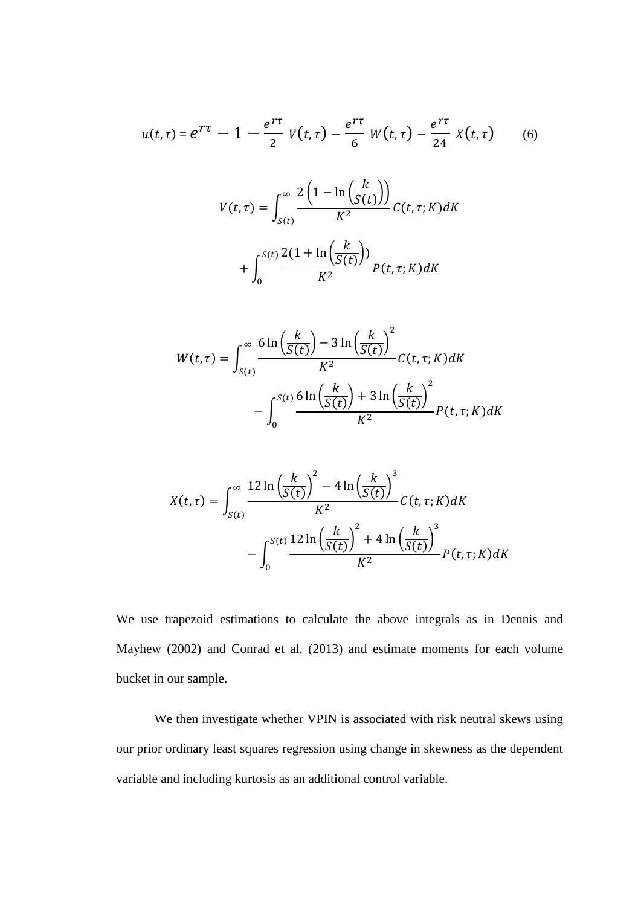$$
u(t,\tau) = e^{\tau\tau} - 1 - \frac{e^{\tau\tau}}{2} V(t,\tau) - \frac{e^{\tau\tau}}{6} W(t,\tau) - \frac{e^{\tau\tau}}{24} X(t,\tau) \qquad (6)
$$

$$
V(t,\tau) = \int_{S(t)}^{\infty} \frac{2\left(1 - \ln\left(\frac{k}{S(t)}\right)\right)}{K^2} C(t,\tau;K)dt
$$

$$
+ \int_{0}^{S(t)} \frac{2(1 + \ln\left(\frac{k}{S(t)}\right))}{K^2} P(t,\tau;K) dK
$$

$$
W(t,\tau) = \int_{S(t)}^{\infty} \frac{6\ln\left(\frac{k}{S(t)}\right) - 3\ln\left(\frac{k}{S(t)}\right)^2}{K^2} C(t,\tau;K) dK
$$

$$
- \int_0^{S(t)} \frac{6\ln\left(\frac{k}{S(t)}\right) + 3\ln\left(\frac{k}{S(t)}\right)^2}{K^2} P(t,\tau;K) dK
$$

$$
X(t,\tau) = \int_{S(t)}^{\infty} \frac{12 \ln\left(\frac{k}{S(t)}\right)^2 - 4 \ln\left(\frac{k}{S(t)}\right)^3}{K^2} C(t,\tau;K) dK
$$

$$
- \int_0^{S(t)} \frac{12 \ln\left(\frac{k}{S(t)}\right)^2 + 4 \ln\left(\frac{k}{S(t)}\right)^3}{K^2} P(t,\tau;K) dK
$$

We use trapezoid estimations to calculate the above integrals as in Dennis and Mayhew (2002) and Conrad et al. (2013) and estimate moments for each volume bucket in our sample.

We then investigate whether VPIN is associated with risk neutral skews using our prior ordinary least squares regression using change in skewness as the dependent variable and including kurtosis as an additional control variable.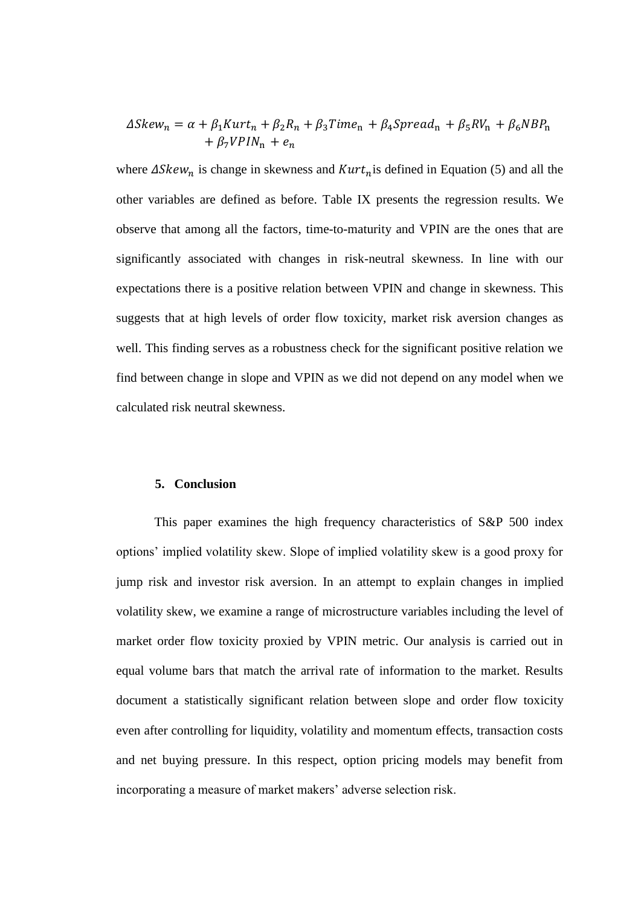$$
\Delta Skew_n = \alpha + \beta_1 Kurt_n + \beta_2 R_n + \beta_3 Time_n + \beta_4 Spread_n + \beta_5 RV_n + \beta_6 NBP_n
$$
  
+  $\beta_7 VPIN_n + e_n$ 

where  $\Delta Skew_n$  is change in skewness and  $Kurt_n$  is defined in Equation (5) and all the other variables are defined as before. Table IX presents the regression results. We observe that among all the factors, time-to-maturity and VPIN are the ones that are significantly associated with changes in risk-neutral skewness. In line with our expectations there is a positive relation between VPIN and change in skewness. This suggests that at high levels of order flow toxicity, market risk aversion changes as well. This finding serves as a robustness check for the significant positive relation we find between change in slope and VPIN as we did not depend on any model when we calculated risk neutral skewness.

### **5. Conclusion**

This paper examines the high frequency characteristics of S&P 500 index options' implied volatility skew. Slope of implied volatility skew is a good proxy for jump risk and investor risk aversion. In an attempt to explain changes in implied volatility skew, we examine a range of microstructure variables including the level of market order flow toxicity proxied by VPIN metric. Our analysis is carried out in equal volume bars that match the arrival rate of information to the market. Results document a statistically significant relation between slope and order flow toxicity even after controlling for liquidity, volatility and momentum effects, transaction costs and net buying pressure. In this respect, option pricing models may benefit from incorporating a measure of market makers' adverse selection risk.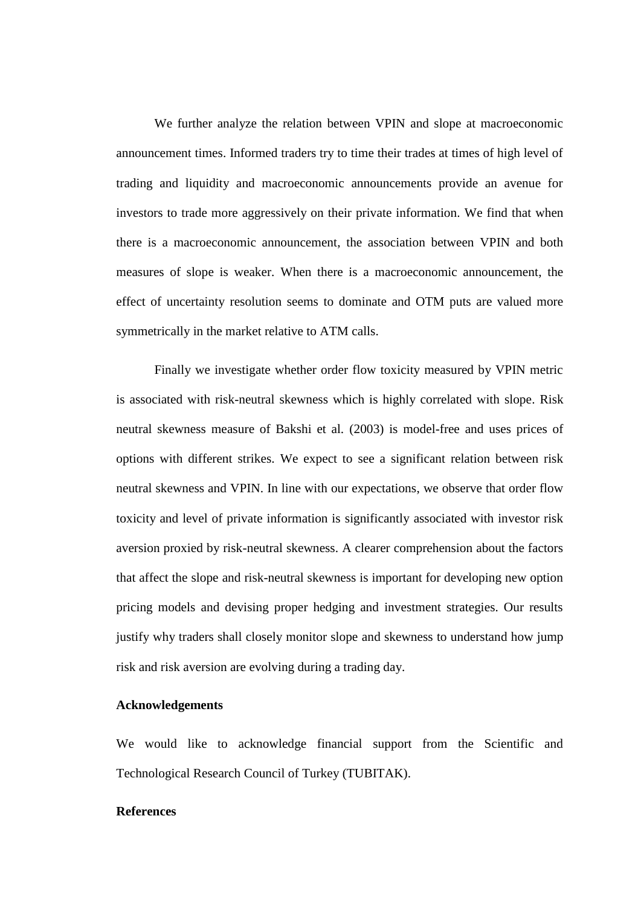We further analyze the relation between VPIN and slope at macroeconomic announcement times. Informed traders try to time their trades at times of high level of trading and liquidity and macroeconomic announcements provide an avenue for investors to trade more aggressively on their private information. We find that when there is a macroeconomic announcement, the association between VPIN and both measures of slope is weaker. When there is a macroeconomic announcement, the effect of uncertainty resolution seems to dominate and OTM puts are valued more symmetrically in the market relative to ATM calls.

Finally we investigate whether order flow toxicity measured by VPIN metric is associated with risk-neutral skewness which is highly correlated with slope. Risk neutral skewness measure of Bakshi et al. (2003) is model-free and uses prices of options with different strikes. We expect to see a significant relation between risk neutral skewness and VPIN. In line with our expectations, we observe that order flow toxicity and level of private information is significantly associated with investor risk aversion proxied by risk-neutral skewness. A clearer comprehension about the factors that affect the slope and risk-neutral skewness is important for developing new option pricing models and devising proper hedging and investment strategies. Our results justify why traders shall closely monitor slope and skewness to understand how jump risk and risk aversion are evolving during a trading day.

### **Acknowledgements**

We would like to acknowledge financial support from the Scientific and Technological Research Council of Turkey (TUBITAK).

### **References**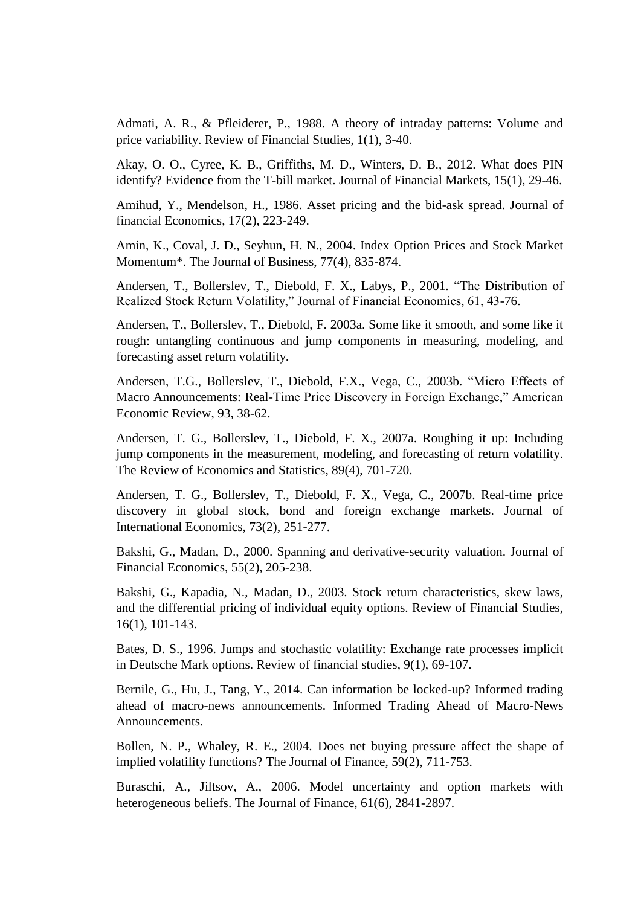Admati, A. R., & Pfleiderer, P., 1988. A theory of intraday patterns: Volume and price variability. Review of Financial Studies, 1(1), 3-40.

Akay, O. O., Cyree, K. B., Griffiths, M. D., Winters, D. B., 2012. What does PIN identify? Evidence from the T-bill market. Journal of Financial Markets, 15(1), 29-46.

Amihud, Y., Mendelson, H., 1986. Asset pricing and the bid-ask spread. Journal of financial Economics, 17(2), 223-249.

Amin, K., Coval, J. D., Seyhun, H. N., 2004. Index Option Prices and Stock Market Momentum\*. The Journal of Business, 77(4), 835-874.

Andersen, T., Bollerslev, T., Diebold, F. X., Labys, P., 2001. "The Distribution of Realized Stock Return Volatility," Journal of Financial Economics, 61, 43-76.

Andersen, T., Bollerslev, T., Diebold, F. 2003a. Some like it smooth, and some like it rough: untangling continuous and jump components in measuring, modeling, and forecasting asset return volatility.

Andersen, T.G., Bollerslev, T., Diebold, F.X., Vega, C., 2003b. "Micro Effects of Macro Announcements: Real-Time Price Discovery in Foreign Exchange," American Economic Review, 93, 38-62.

Andersen, T. G., Bollerslev, T., Diebold, F. X., 2007a. Roughing it up: Including jump components in the measurement, modeling, and forecasting of return volatility. The Review of Economics and Statistics, 89(4), 701-720.

Andersen, T. G., Bollerslev, T., Diebold, F. X., Vega, C., 2007b. Real-time price discovery in global stock, bond and foreign exchange markets. Journal of International Economics, 73(2), 251-277.

Bakshi, G., Madan, D., 2000. Spanning and derivative-security valuation. Journal of Financial Economics, 55(2), 205-238.

Bakshi, G., Kapadia, N., Madan, D., 2003. Stock return characteristics, skew laws, and the differential pricing of individual equity options. Review of Financial Studies, 16(1), 101-143.

Bates, D. S., 1996. Jumps and stochastic volatility: Exchange rate processes implicit in Deutsche Mark options. Review of financial studies, 9(1), 69-107.

Bernile, G., Hu, J., Tang, Y., 2014. Can information be locked-up? Informed trading ahead of macro-news announcements. Informed Trading Ahead of Macro-News Announcements.

Bollen, N. P., Whaley, R. E., 2004. Does net buying pressure affect the shape of implied volatility functions? The Journal of Finance, 59(2), 711-753.

Buraschi, A., Jiltsov, A., 2006. Model uncertainty and option markets with heterogeneous beliefs. The Journal of Finance, 61(6), 2841-2897.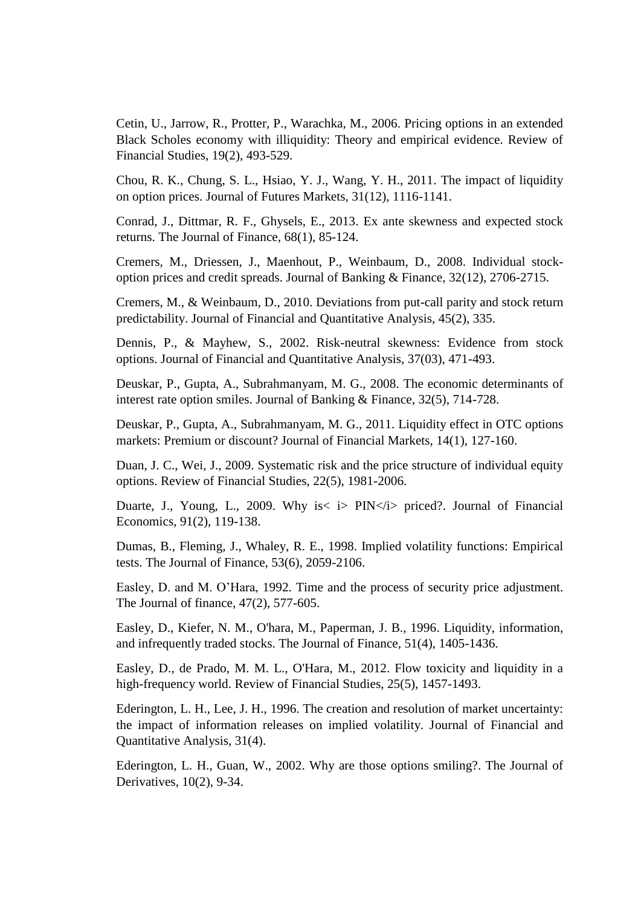Cetin, U., Jarrow, R., Protter, P., Warachka, M., 2006. Pricing options in an extended Black Scholes economy with illiquidity: Theory and empirical evidence. Review of Financial Studies, 19(2), 493-529.

Chou, R. K., Chung, S. L., Hsiao, Y. J., Wang, Y. H., 2011. The impact of liquidity on option prices. Journal of Futures Markets, 31(12), 1116-1141.

Conrad, J., Dittmar, R. F., Ghysels, E., 2013. Ex ante skewness and expected stock returns. The Journal of Finance, 68(1), 85-124.

Cremers, M., Driessen, J., Maenhout, P., Weinbaum, D., 2008. Individual stockoption prices and credit spreads. Journal of Banking & Finance, 32(12), 2706-2715.

Cremers, M., & Weinbaum, D., 2010. Deviations from put-call parity and stock return predictability. Journal of Financial and Quantitative Analysis, 45(2), 335.

Dennis, P., & Mayhew, S., 2002. Risk-neutral skewness: Evidence from stock options. Journal of Financial and Quantitative Analysis, 37(03), 471-493.

Deuskar, P., Gupta, A., Subrahmanyam, M. G., 2008. The economic determinants of interest rate option smiles. Journal of Banking & Finance, 32(5), 714-728.

Deuskar, P., Gupta, A., Subrahmanyam, M. G., 2011. Liquidity effect in OTC options markets: Premium or discount? Journal of Financial Markets, 14(1), 127-160.

Duan, J. C., Wei, J., 2009. Systematic risk and the price structure of individual equity options. Review of Financial Studies, 22(5), 1981-2006.

Duarte, J., Young, L., 2009. Why is < i > PIN < i > priced?. Journal of Financial Economics, 91(2), 119-138.

Dumas, B., Fleming, J., Whaley, R. E., 1998. Implied volatility functions: Empirical tests. The Journal of Finance, 53(6), 2059-2106.

Easley, D. and M. O'Hara, 1992. Time and the process of security price adjustment. The Journal of finance, 47(2), 577-605.

Easley, D., Kiefer, N. M., O'hara, M., Paperman, J. B., 1996. Liquidity, information, and infrequently traded stocks. The Journal of Finance, 51(4), 1405-1436.

Easley, D., de Prado, M. M. L., O'Hara, M., 2012. Flow toxicity and liquidity in a high-frequency world. Review of Financial Studies, 25(5), 1457-1493.

Ederington, L. H., Lee, J. H., 1996. The creation and resolution of market uncertainty: the impact of information releases on implied volatility. Journal of Financial and Quantitative Analysis, 31(4).

Ederington, L. H., Guan, W., 2002. Why are those options smiling?. The Journal of Derivatives, 10(2), 9-34.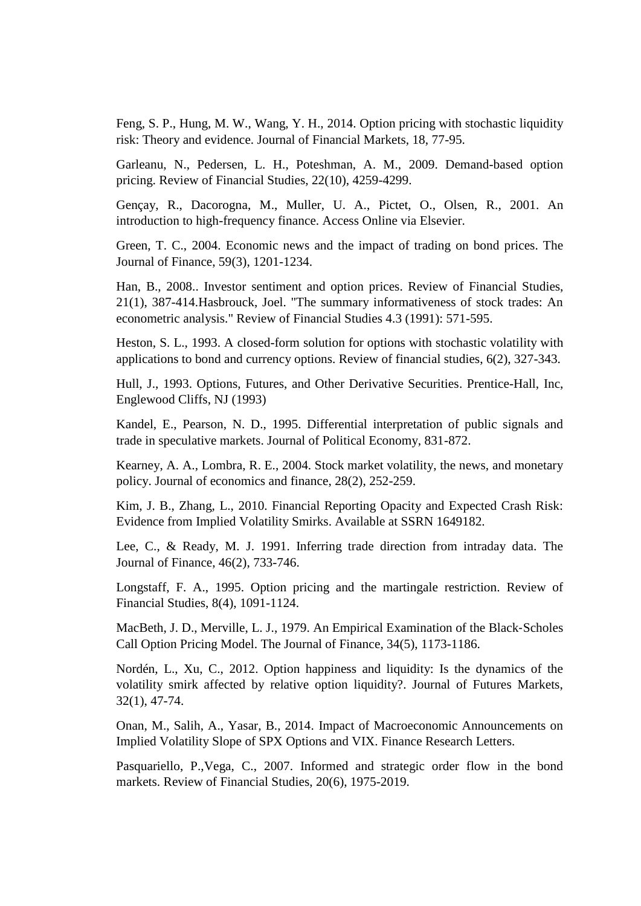Feng, S. P., Hung, M. W., Wang, Y. H., 2014. Option pricing with stochastic liquidity risk: Theory and evidence. Journal of Financial Markets, 18, 77-95.

Garleanu, N., Pedersen, L. H., Poteshman, A. M., 2009. Demand-based option pricing. Review of Financial Studies, 22(10), 4259-4299.

Gençay, R., Dacorogna, M., Muller, U. A., Pictet, O., Olsen, R., 2001. An introduction to high-frequency finance. Access Online via Elsevier.

Green, T. C., 2004. Economic news and the impact of trading on bond prices. The Journal of Finance, 59(3), 1201-1234.

Han, B., 2008.. Investor sentiment and option prices. Review of Financial Studies, 21(1), 387-414.Hasbrouck, Joel. "The summary informativeness of stock trades: An econometric analysis." Review of Financial Studies 4.3 (1991): 571-595.

Heston, S. L., 1993. A closed-form solution for options with stochastic volatility with applications to bond and currency options. Review of financial studies, 6(2), 327-343.

Hull, J., 1993. Options, Futures, and Other Derivative Securities. Prentice-Hall, Inc, Englewood Cliffs, NJ (1993)

Kandel, E., Pearson, N. D., 1995. Differential interpretation of public signals and trade in speculative markets. Journal of Political Economy, 831-872.

Kearney, A. A., Lombra, R. E., 2004. Stock market volatility, the news, and monetary policy. Journal of economics and finance, 28(2), 252-259.

Kim, J. B., Zhang, L., 2010. Financial Reporting Opacity and Expected Crash Risk: Evidence from Implied Volatility Smirks. Available at SSRN 1649182.

Lee, C., & Ready, M. J. 1991. Inferring trade direction from intraday data. The Journal of Finance, 46(2), 733-746.

Longstaff, F. A., 1995. Option pricing and the martingale restriction. Review of Financial Studies, 8(4), 1091-1124.

MacBeth, J. D., Merville, L. J., 1979. An Empirical Examination of the Black‐Scholes Call Option Pricing Model. The Journal of Finance, 34(5), 1173-1186.

Nordén, L., Xu, C., 2012. Option happiness and liquidity: Is the dynamics of the volatility smirk affected by relative option liquidity?. Journal of Futures Markets, 32(1), 47-74.

Onan, M., Salih, A., Yasar, B., 2014. Impact of Macroeconomic Announcements on Implied Volatility Slope of SPX Options and VIX. Finance Research Letters.

Pasquariello, P.,Vega, C., 2007. Informed and strategic order flow in the bond markets. Review of Financial Studies, 20(6), 1975-2019.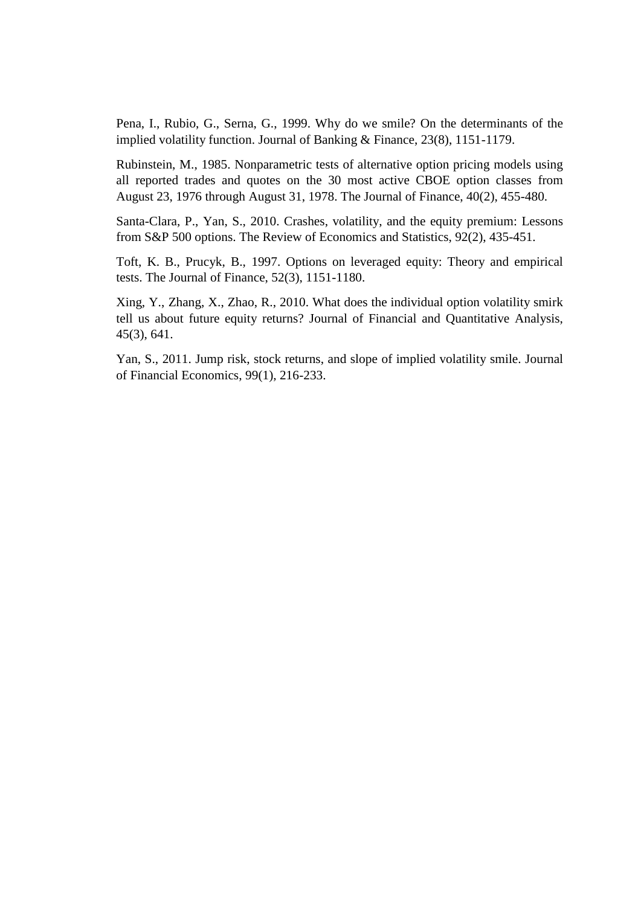Pena, I., Rubio, G., Serna, G., 1999. Why do we smile? On the determinants of the implied volatility function. Journal of Banking & Finance, 23(8), 1151-1179.

Rubinstein, M., 1985. Nonparametric tests of alternative option pricing models using all reported trades and quotes on the 30 most active CBOE option classes from August 23, 1976 through August 31, 1978. The Journal of Finance, 40(2), 455-480.

Santa-Clara, P., Yan, S., 2010. Crashes, volatility, and the equity premium: Lessons from S&P 500 options. The Review of Economics and Statistics, 92(2), 435-451.

Toft, K. B., Prucyk, B., 1997. Options on leveraged equity: Theory and empirical tests. The Journal of Finance, 52(3), 1151-1180.

Xing, Y., Zhang, X., Zhao, R., 2010. What does the individual option volatility smirk tell us about future equity returns? Journal of Financial and Quantitative Analysis, 45(3), 641.

Yan, S., 2011. Jump risk, stock returns, and slope of implied volatility smile. Journal of Financial Economics, 99(1), 216-233.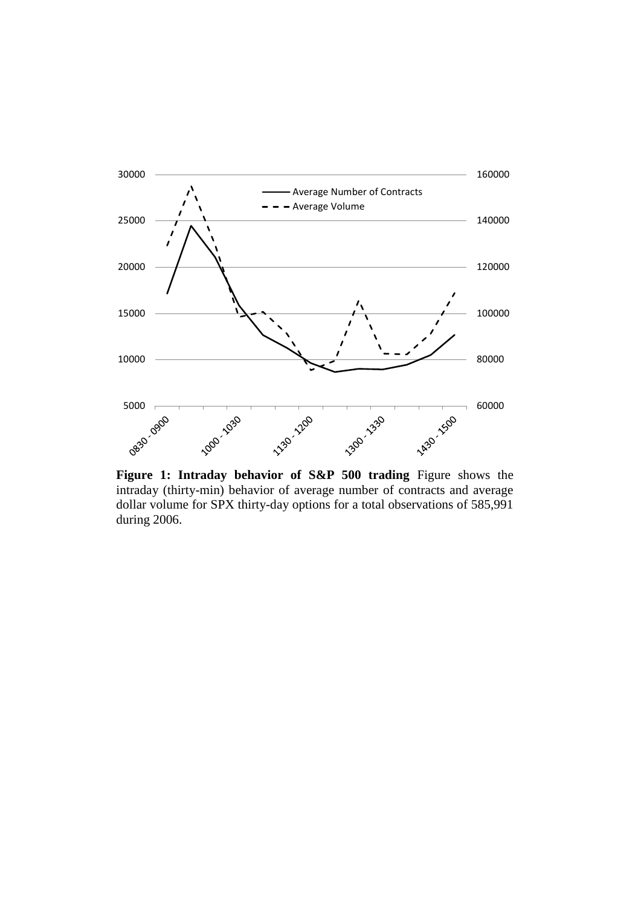

Figure 1: Intraday behavior of S&P 500 trading Figure shows the intraday (thirty-min) behavior of average number of contracts and average dollar volume for SPX thirty-day options for a total observations of 585,991 during 2006.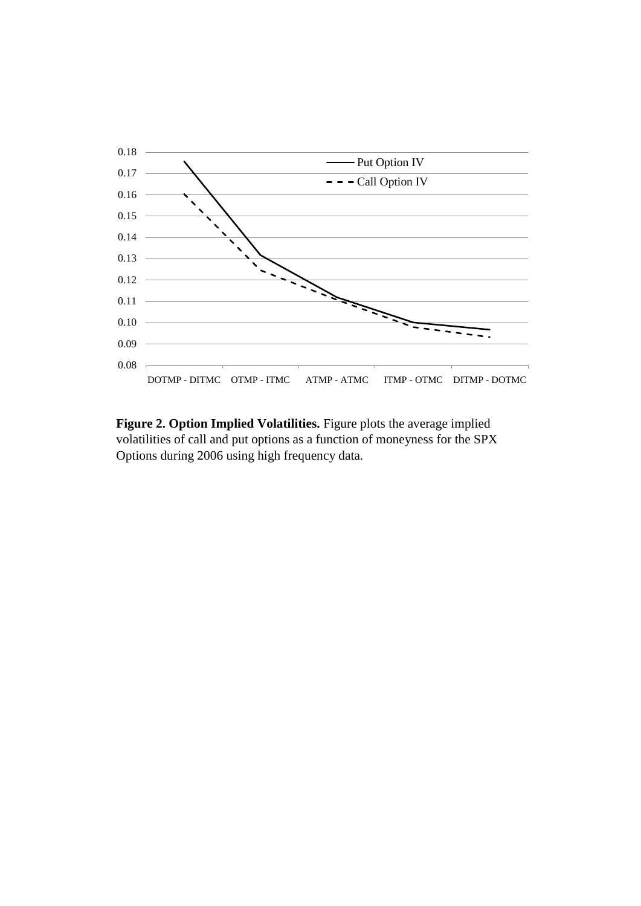

**Figure 2. Option Implied Volatilities.** Figure plots the average implied volatilities of call and put options as a function of moneyness for the SPX Options during 2006 using high frequency data.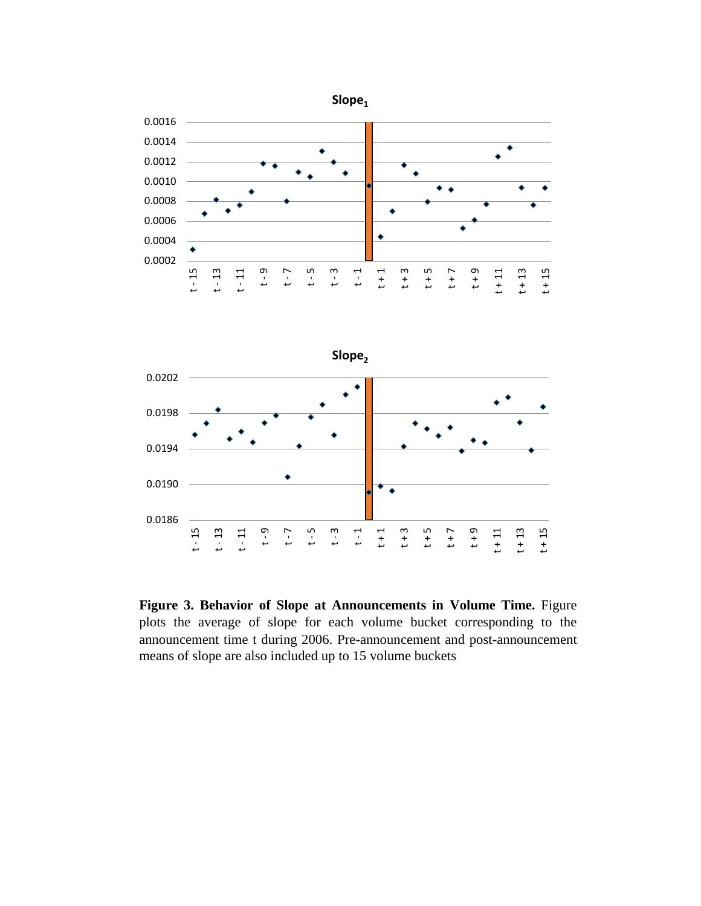



**Figure 3. Behavior of Slope at Announcements in Volume Time.** Figure plots the average of slope for each volume bucket corresponding to the announcement time t during 2006. Pre-announcement and post-announcement means of slope are also included up to 15 volume buckets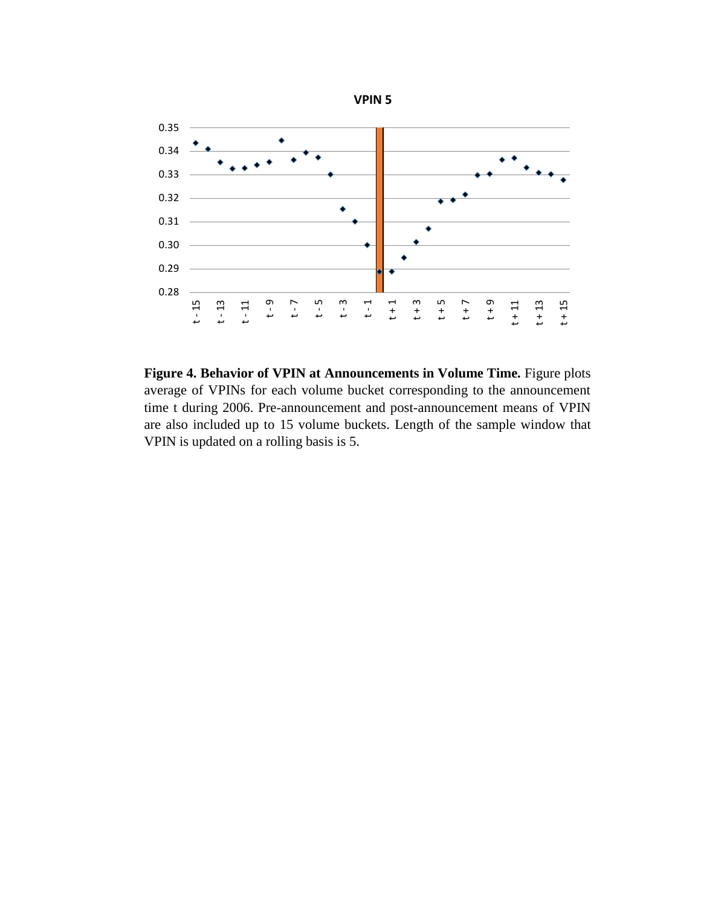

**Figure 4. Behavior of VPIN at Announcements in Volume Time.** Figure plots average of VPINs for each volume bucket corresponding to the announcement time t during 2006. Pre-announcement and post-announcement means of VPIN are also included up to 15 volume buckets. Length of the sample window that VPIN is updated on a rolling basis is 5.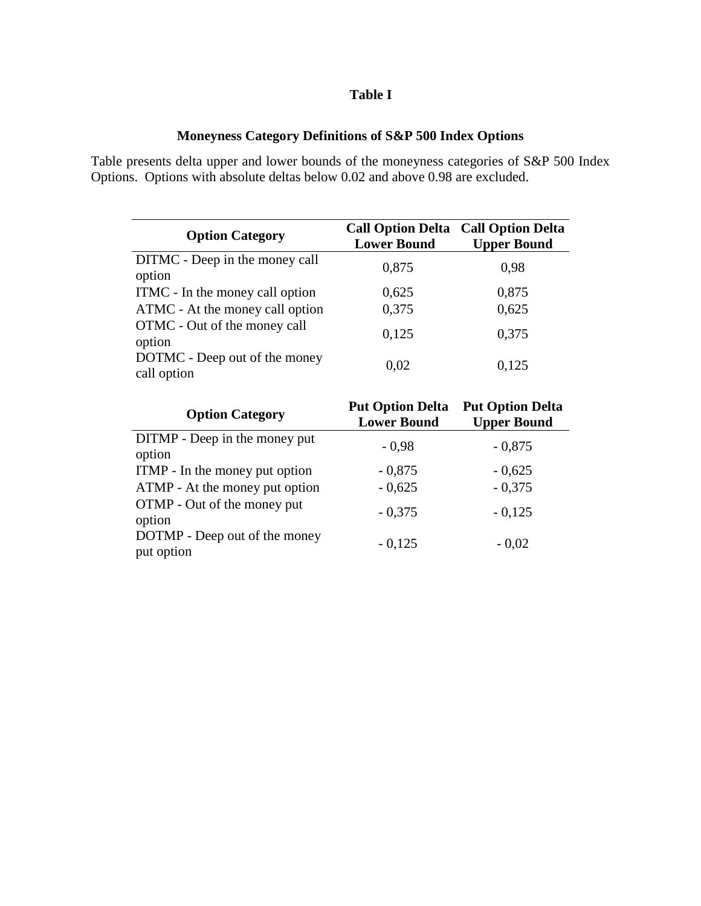# **Table I**

# **Moneyness Category Definitions of S&P 500 Index Options**

Table presents delta upper and lower bounds of the moneyness categories of S&P 500 Index Options. Options with absolute deltas below 0.02 and above 0.98 are excluded.

| <b>Option Category</b>                       | <b>Lower Bound</b> | <b>Call Option Delta Call Option Delta</b><br><b>Upper Bound</b> |
|----------------------------------------------|--------------------|------------------------------------------------------------------|
| DITMC - Deep in the money call<br>option     | 0,875              | 0,98                                                             |
| ITMC - In the money call option              | 0,625              | 0,875                                                            |
| ATMC - At the money call option              | 0,375              | 0,625                                                            |
| OTMC - Out of the money call<br>option       | 0,125              | 0,375                                                            |
| DOTMC - Deep out of the money<br>call option | 0,02               | 0,125                                                            |

| <b>Option Category</b>                      | <b>Put Option Delta</b><br><b>Lower Bound</b> | <b>Put Option Delta</b><br><b>Upper Bound</b> |
|---------------------------------------------|-----------------------------------------------|-----------------------------------------------|
| DITMP - Deep in the money put<br>option     | $-0.98$                                       | $-0,875$                                      |
| ITMP - In the money put option              | $-0,875$                                      | $-0,625$                                      |
| ATMP - At the money put option              | $-0,625$                                      | $-0,375$                                      |
| OTMP - Out of the money put<br>option       | $-0,375$                                      | $-0,125$                                      |
| DOTMP - Deep out of the money<br>put option | $-0,125$                                      | $-0,02$                                       |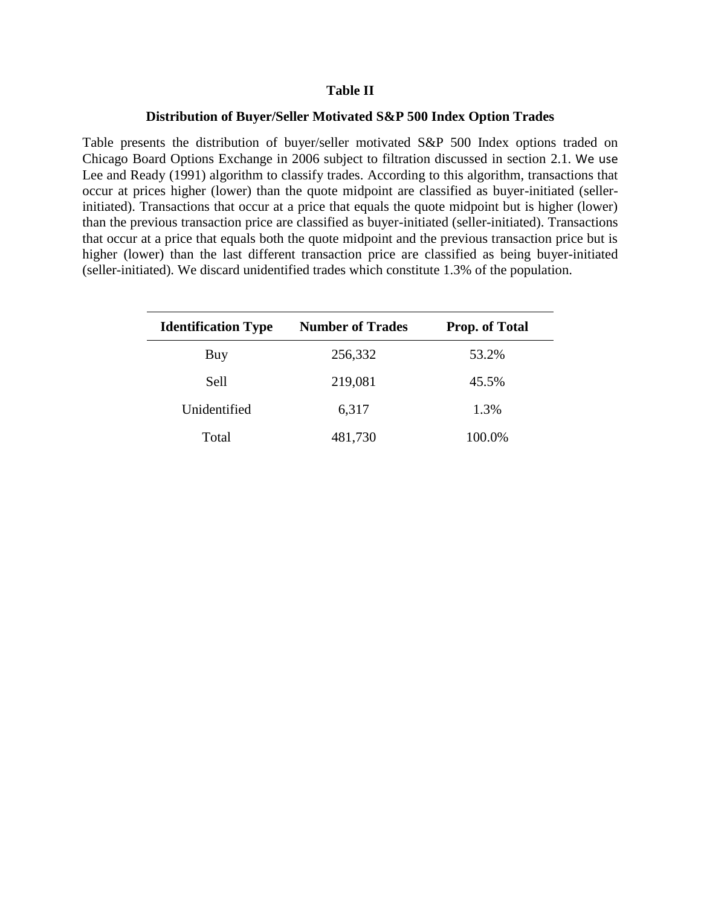### **Table II**

### **Distribution of Buyer/Seller Motivated S&P 500 Index Option Trades**

Table presents the distribution of buyer/seller motivated S&P 500 Index options traded on Chicago Board Options Exchange in 2006 subject to filtration discussed in section 2.1. We use Lee and Ready (1991) algorithm to classify trades. According to this algorithm, transactions that occur at prices higher (lower) than the quote midpoint are classified as buyer-initiated (sellerinitiated). Transactions that occur at a price that equals the quote midpoint but is higher (lower) than the previous transaction price are classified as buyer-initiated (seller-initiated). Transactions that occur at a price that equals both the quote midpoint and the previous transaction price but is higher (lower) than the last different transaction price are classified as being buyer-initiated (seller-initiated). We discard unidentified trades which constitute 1.3% of the population.

| <b>Identification Type</b> | <b>Number of Trades</b> | <b>Prop. of Total</b> |
|----------------------------|-------------------------|-----------------------|
| Buy                        | 256,332                 | 53.2%                 |
| Sell                       | 219,081                 | 45.5%                 |
| Unidentified               | 6,317                   | 1.3%                  |
| Total                      | 481,730                 | 100.0%                |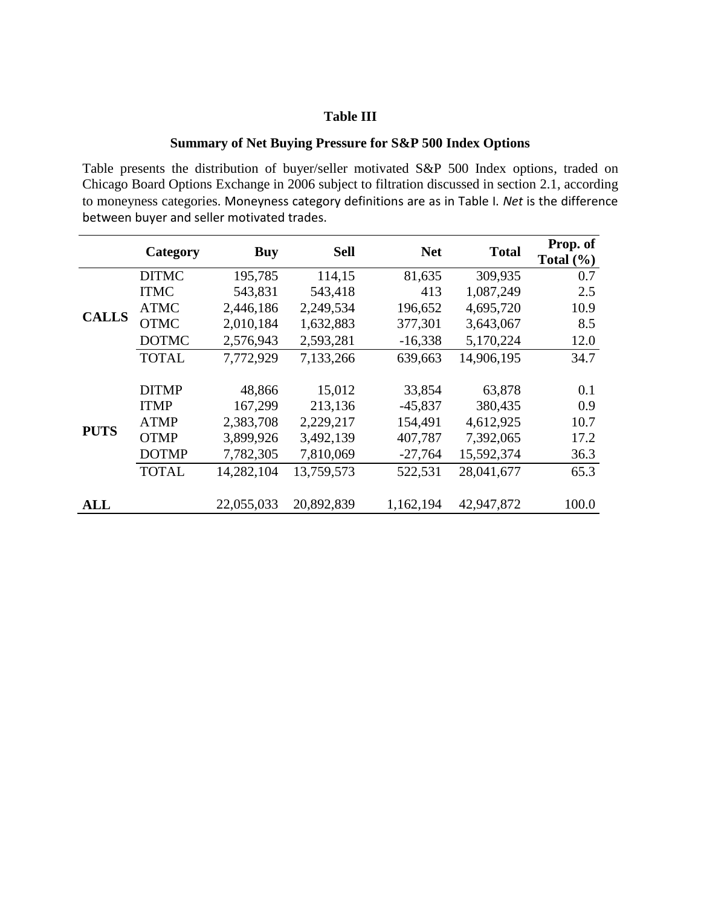# **Table III**

# **Summary of Net Buying Pressure for S&P 500 Index Options**

Table presents the distribution of buyer/seller motivated S&P 500 Index options, traded on Chicago Board Options Exchange in 2006 subject to filtration discussed in section 2.1, according to moneyness categories. Moneyness category definitions are as in Table I. *Net* is the difference between buyer and seller motivated trades.

|              | Category     | <b>Buy</b> | <b>Sell</b> | <b>Net</b> | <b>Total</b> | Prop. of<br>Total $(\% )$ |
|--------------|--------------|------------|-------------|------------|--------------|---------------------------|
|              | <b>DITMC</b> | 195,785    | 114,15      | 81,635     | 309,935      | 0.7                       |
|              | <b>ITMC</b>  | 543,831    | 543,418     | 413        | 1,087,249    | 2.5                       |
|              | <b>ATMC</b>  | 2,446,186  | 2,249,534   | 196,652    | 4,695,720    | 10.9                      |
| <b>CALLS</b> | <b>OTMC</b>  | 2,010,184  | 1,632,883   | 377,301    | 3,643,067    | 8.5                       |
|              | <b>DOTMC</b> | 2,576,943  | 2,593,281   | $-16,338$  | 5,170,224    | 12.0                      |
|              | <b>TOTAL</b> | 7,772,929  | 7,133,266   | 639,663    | 14,906,195   | 34.7                      |
|              |              |            |             |            |              |                           |
|              | <b>DITMP</b> | 48,866     | 15,012      | 33,854     | 63,878       | 0.1                       |
|              | <b>ITMP</b>  | 167,299    | 213,136     | $-45,837$  | 380,435      | 0.9                       |
| <b>PUTS</b>  | <b>ATMP</b>  | 2,383,708  | 2,229,217   | 154,491    | 4,612,925    | 10.7                      |
|              | <b>OTMP</b>  | 3,899,926  | 3,492,139   | 407,787    | 7,392,065    | 17.2                      |
|              | <b>DOTMP</b> | 7,782,305  | 7,810,069   | $-27,764$  | 15,592,374   | 36.3                      |
|              | <b>TOTAL</b> | 14,282,104 | 13,759,573  | 522,531    | 28,041,677   | 65.3                      |
| ALL          |              | 22,055,033 | 20,892,839  | 1,162,194  | 42,947,872   | 100.0                     |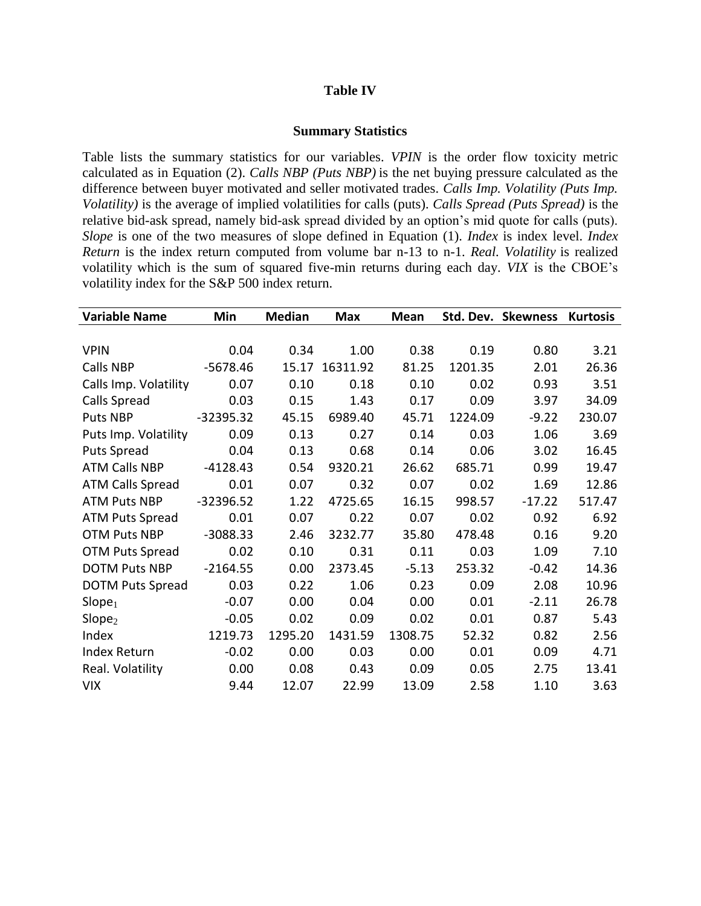# **Table IV**

### **Summary Statistics**

Table lists the summary statistics for our variables. *VPIN* is the order flow toxicity metric calculated as in Equation (2). *Calls NBP (Puts NBP)* is the net buying pressure calculated as the difference between buyer motivated and seller motivated trades. *Calls Imp. Volatility (Puts Imp. Volatility)* is the average of implied volatilities for calls (puts). *Calls Spread (Puts Spread)* is the relative bid-ask spread, namely bid-ask spread divided by an option's mid quote for calls (puts). *Slope* is one of the two measures of slope defined in Equation (1). *Index* is index level. *Index Return* is the index return computed from volume bar n-13 to n-1. *Real. Volatility* is realized volatility which is the sum of squared five-min returns during each day. *VIX* is the CBOE's volatility index for the S&P 500 index return.

| <b>Variable Name</b>    | Min         | <b>Median</b> | <b>Max</b> | Mean    |         | Std. Dev. Skewness | <b>Kurtosis</b> |
|-------------------------|-------------|---------------|------------|---------|---------|--------------------|-----------------|
|                         |             |               |            |         |         |                    |                 |
| <b>VPIN</b>             | 0.04        | 0.34          | 1.00       | 0.38    | 0.19    | 0.80               | 3.21            |
| Calls NBP               | $-5678.46$  | 15.17         | 16311.92   | 81.25   | 1201.35 | 2.01               | 26.36           |
| Calls Imp. Volatility   | 0.07        | 0.10          | 0.18       | 0.10    | 0.02    | 0.93               | 3.51            |
| Calls Spread            | 0.03        | 0.15          | 1.43       | 0.17    | 0.09    | 3.97               | 34.09           |
| Puts NBP                | $-32395.32$ | 45.15         | 6989.40    | 45.71   | 1224.09 | $-9.22$            | 230.07          |
| Puts Imp. Volatility    | 0.09        | 0.13          | 0.27       | 0.14    | 0.03    | 1.06               | 3.69            |
| Puts Spread             | 0.04        | 0.13          | 0.68       | 0.14    | 0.06    | 3.02               | 16.45           |
| <b>ATM Calls NBP</b>    | $-4128.43$  | 0.54          | 9320.21    | 26.62   | 685.71  | 0.99               | 19.47           |
| <b>ATM Calls Spread</b> | 0.01        | 0.07          | 0.32       | 0.07    | 0.02    | 1.69               | 12.86           |
| <b>ATM Puts NBP</b>     | $-32396.52$ | 1.22          | 4725.65    | 16.15   | 998.57  | $-17.22$           | 517.47          |
| <b>ATM Puts Spread</b>  | 0.01        | 0.07          | 0.22       | 0.07    | 0.02    | 0.92               | 6.92            |
| <b>OTM Puts NBP</b>     | $-3088.33$  | 2.46          | 3232.77    | 35.80   | 478.48  | 0.16               | 9.20            |
| <b>OTM Puts Spread</b>  | 0.02        | 0.10          | 0.31       | 0.11    | 0.03    | 1.09               | 7.10            |
| <b>DOTM Puts NBP</b>    | $-2164.55$  | 0.00          | 2373.45    | $-5.13$ | 253.32  | $-0.42$            | 14.36           |
| <b>DOTM Puts Spread</b> | 0.03        | 0.22          | 1.06       | 0.23    | 0.09    | 2.08               | 10.96           |
| Slope <sub>1</sub>      | $-0.07$     | 0.00          | 0.04       | 0.00    | 0.01    | $-2.11$            | 26.78           |
| Slope <sub>2</sub>      | $-0.05$     | 0.02          | 0.09       | 0.02    | 0.01    | 0.87               | 5.43            |
| Index                   | 1219.73     | 1295.20       | 1431.59    | 1308.75 | 52.32   | 0.82               | 2.56            |
| <b>Index Return</b>     | $-0.02$     | 0.00          | 0.03       | 0.00    | 0.01    | 0.09               | 4.71            |
| Real. Volatility        | 0.00        | 0.08          | 0.43       | 0.09    | 0.05    | 2.75               | 13.41           |
| <b>VIX</b>              | 9.44        | 12.07         | 22.99      | 13.09   | 2.58    | 1.10               | 3.63            |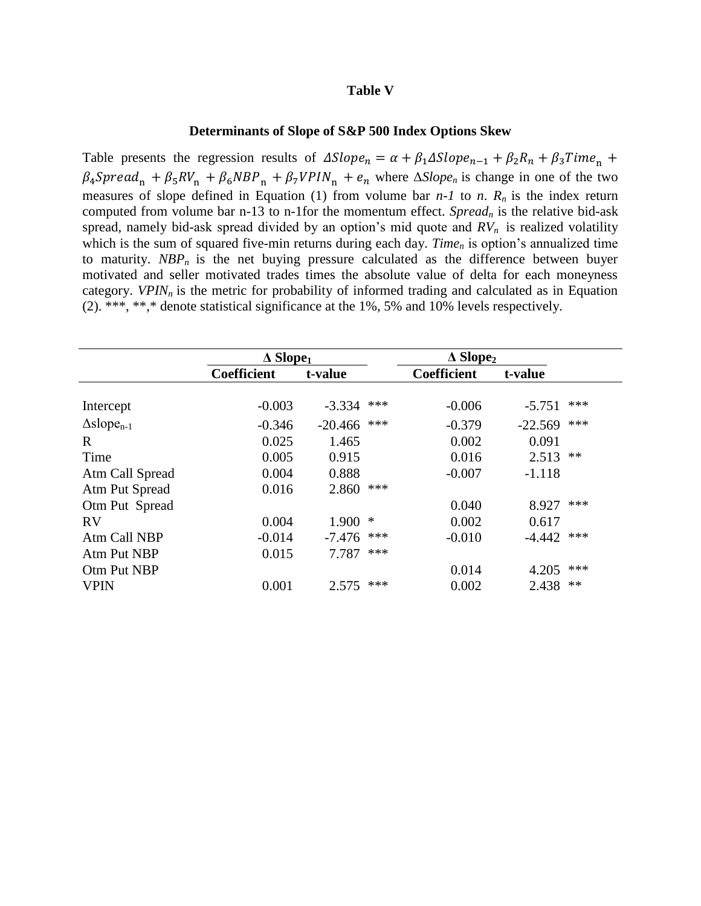### **Table V**

### **Determinants of Slope of S&P 500 Index Options Skew**

Table presents the regression results of  $\Delta Slope_n = \alpha + \beta_1 \Delta Slope_{n-1} + \beta_2 R_n + \beta_3 Time_n$  $\beta_4$ Spread<sub>n</sub> +  $\beta_5 RV_n$  +  $\beta_6 NBP_n$  +  $\beta_7 VPIN_n$  +  $e_n$  where  $\Delta Slope_n$  is change in one of the two measures of slope defined in Equation (1) from volume bar  $n-1$  to  $n$ .  $R_n$  is the index return computed from volume bar n-13 to n-1for the momentum effect. *Spread<sup>n</sup>* is the relative bid-ask spread, namely bid-ask spread divided by an option's mid quote and *RVn* is realized volatility which is the sum of squared five-min returns during each day. *Time<sub>n</sub>* is option's annualized time to maturity.  $NBP_n$  is the net buying pressure calculated as the difference between buyer motivated and seller motivated trades times the absolute value of delta for each moneyness category. *VPIN<sub>n</sub>* is the metric for probability of informed trading and calculated as in Equation (2). \*\*\*, \*\*,\* denote statistical significance at the 1%, 5% and 10% levels respectively.

|                             | $\Delta$ Slope <sub>1</sub> |           | $\triangle$ Slope <sub>2</sub> |                    |           |       |
|-----------------------------|-----------------------------|-----------|--------------------------------|--------------------|-----------|-------|
|                             | <b>Coefficient</b>          | t-value   |                                | <b>Coefficient</b> | t-value   |       |
|                             |                             |           |                                |                    |           |       |
| Intercept                   | $-0.003$                    | $-3.334$  | ***                            | $-0.006$           | $-5.751$  | ***   |
| $\Delta \text{slope}_{n-1}$ | $-0.346$                    | $-20.466$ | ***                            | $-0.379$           | $-22.569$ | ***   |
| $\mathbf R$                 | 0.025                       | 1.465     |                                | 0.002              | 0.091     |       |
| Time                        | 0.005                       | 0.915     |                                | 0.016              | 2.513     | $***$ |
| Atm Call Spread             | 0.004                       | 0.888     |                                | $-0.007$           | $-1.118$  |       |
| Atm Put Spread              | 0.016                       | 2.860     | ***                            |                    |           |       |
| Otm Put Spread              |                             |           |                                | 0.040              | 8.927     | ***   |
| <b>RV</b>                   | 0.004                       | 1.900     | ∗                              | 0.002              | 0.617     |       |
| Atm Call NBP                | $-0.014$                    | $-7.476$  | ***                            | $-0.010$           | $-4.442$  | ***   |
| Atm Put NBP                 | 0.015                       | 7.787     | ***                            |                    |           |       |
| Otm Put NBP                 |                             |           |                                | 0.014              | 4.205     | ***   |
| <b>VPIN</b>                 | 0.001                       | 2.575     | ***                            | 0.002              | 2.438     | $**$  |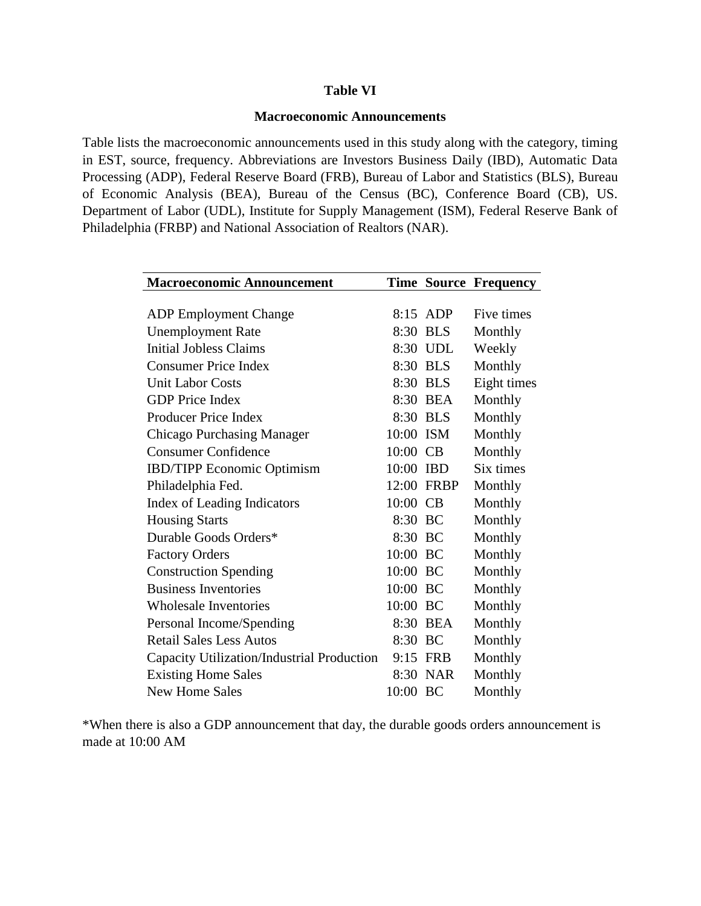# **Table VI**

# **Macroeconomic Announcements**

Table lists the macroeconomic announcements used in this study along with the category, timing in EST, source, frequency. Abbreviations are Investors Business Daily (IBD), Automatic Data Processing (ADP), Federal Reserve Board (FRB), Bureau of Labor and Statistics (BLS), Bureau of Economic Analysis (BEA), Bureau of the Census (BC), Conference Board (CB), US. Department of Labor (UDL), Institute for Supply Management (ISM), Federal Reserve Bank of Philadelphia (FRBP) and National Association of Realtors (NAR).

| <b>Macroeconomic Announcement</b>          |           |            | <b>Time Source Frequency</b> |
|--------------------------------------------|-----------|------------|------------------------------|
|                                            |           |            |                              |
| <b>ADP</b> Employment Change               |           | 8:15 ADP   | Five times                   |
| <b>Unemployment Rate</b>                   |           | 8:30 BLS   | Monthly                      |
| <b>Initial Jobless Claims</b>              |           | 8:30 UDL   | Weekly                       |
| <b>Consumer Price Index</b>                |           | 8:30 BLS   | Monthly                      |
| <b>Unit Labor Costs</b>                    |           | 8:30 BLS   | Eight times                  |
| <b>GDP</b> Price Index                     |           | 8:30 BEA   | Monthly                      |
| <b>Producer Price Index</b>                |           | 8:30 BLS   | Monthly                      |
| <b>Chicago Purchasing Manager</b>          | 10:00 ISM |            | Monthly                      |
| <b>Consumer Confidence</b>                 | 10:00 CB  |            | Monthly                      |
| <b>IBD/TIPP</b> Economic Optimism          | 10:00 IBD |            | Six times                    |
| Philadelphia Fed.                          |           | 12:00 FRBP | Monthly                      |
| Index of Leading Indicators                | 10:00 CB  |            | Monthly                      |
| <b>Housing Starts</b>                      | 8:30 BC   |            | Monthly                      |
| Durable Goods Orders*                      | 8:30 BC   |            | Monthly                      |
| <b>Factory Orders</b>                      | 10:00 BC  |            | Monthly                      |
| <b>Construction Spending</b>               | 10:00 BC  |            | Monthly                      |
| <b>Business Inventories</b>                | 10:00 BC  |            | Monthly                      |
| <b>Wholesale Inventories</b>               | 10:00 BC  |            | Monthly                      |
| Personal Income/Spending                   | 8:30      | BEA        | Monthly                      |
| <b>Retail Sales Less Autos</b>             | 8:30 BC   |            | Monthly                      |
| Capacity Utilization/Industrial Production |           | 9:15 FRB   | Monthly                      |
| <b>Existing Home Sales</b>                 | 8:30      | <b>NAR</b> | Monthly                      |
| <b>New Home Sales</b>                      | 10:00 BC  |            | Monthly                      |

\*When there is also a GDP announcement that day, the durable goods orders announcement is made at 10:00 AM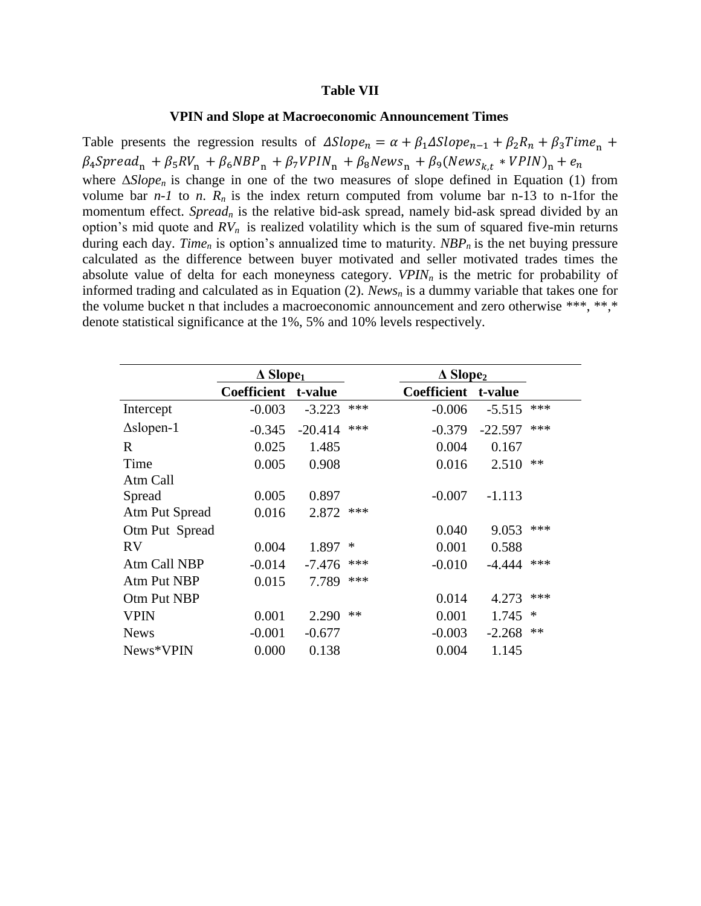#### **Table VII**

### **VPIN and Slope at Macroeconomic Announcement Times**

Table presents the regression results of  $\Delta Slope_n = \alpha + \beta_1 \Delta Slope_{n-1} + \beta_2 R_n + \beta_3 Time_n +$  $\beta_4 \text{Spread}_\text{n} + \beta_5 RV_\text{n} + \beta_6 NBP_\text{n} + \beta_7 VPIN_\text{n} + \beta_8 News_\text{n} + \beta_9 (News_{k,t}*VPIN_\text{n}$ where Δ*Slopen* is change in one of the two measures of slope defined in Equation (1) from volume bar  $n-1$  to  $n$ .  $R_n$  is the index return computed from volume bar n-13 to n-1for the momentum effect. *Spread<sub>n</sub>* is the relative bid-ask spread, namely bid-ask spread divided by an option's mid quote and  $RV_n$  is realized volatility which is the sum of squared five-min returns during each day. *Time<sup>n</sup>* is option's annualized time to maturity. *NBPn* is the net buying pressure calculated as the difference between buyer motivated and seller motivated trades times the absolute value of delta for each moneyness category. *VPINn* is the metric for probability of informed trading and calculated as in Equation (2). *News<sup>n</sup>* is a dummy variable that takes one for the volume bucket n that includes a macroeconomic announcement and zero otherwise \*\*\*, \*\*,\* denote statistical significance at the 1%, 5% and 10% levels respectively.

|                   | $\Delta$ Slope <sub>1</sub> |           | $\triangle$ Slope <sub>2</sub> |                    |           |      |  |
|-------------------|-----------------------------|-----------|--------------------------------|--------------------|-----------|------|--|
|                   | <b>Coefficient</b>          | t-value   |                                | <b>Coefficient</b> | t-value   |      |  |
| Intercept         | $-0.003$                    | $-3.223$  | ***                            | $-0.006$           | $-5.515$  | ***  |  |
| $\Delta$ slopen-1 | $-0.345$                    | $-20.414$ | ***                            | $-0.379$           | $-22.597$ | ***  |  |
| R                 | 0.025                       | 1.485     |                                | 0.004              | 0.167     |      |  |
| Time              | 0.005                       | 0.908     |                                | 0.016              | 2.510     | $**$ |  |
| Atm Call          |                             |           |                                |                    |           |      |  |
| Spread            | 0.005                       | 0.897     |                                | $-0.007$           | $-1.113$  |      |  |
| Atm Put Spread    | 0.016                       | 2.872     | ***                            |                    |           |      |  |
| Otm Put Spread    |                             |           |                                | 0.040              | 9.053     | ***  |  |
| RV                | 0.004                       | 1.897     | ∗                              | 0.001              | 0.588     |      |  |
| Atm Call NBP      | $-0.014$                    | $-7.476$  | ***                            | $-0.010$           | -4.444    | ***  |  |
| Atm Put NBP       | 0.015                       | 7.789     | ***                            |                    |           |      |  |
| Otm Put NBP       |                             |           |                                | 0.014              | 4.273     | ***  |  |
| <b>VPIN</b>       | 0.001                       | 2.290     | $**$                           | 0.001              | 1.745     | ∗    |  |
| <b>News</b>       | $-0.001$                    | $-0.677$  |                                | $-0.003$           | $-2.268$  | $**$ |  |
| News*VPIN         | 0.000                       | 0.138     |                                | 0.004              | 1.145     |      |  |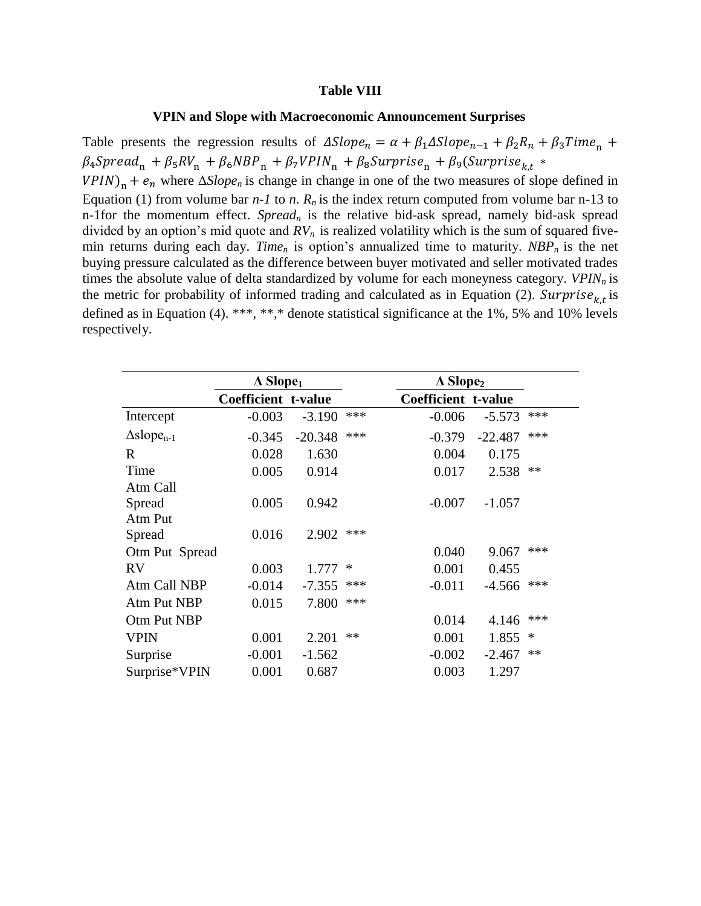#### **Table VIII**

### **VPIN and Slope with Macroeconomic Announcement Surprises**

Table presents the regression results of  $\Delta Slope_n = \alpha + \beta_1 \Delta Slope_{n-1} + \beta_2 R_n + \beta_3 Time_n +$  $\beta_4$ Spread<sub>n</sub> +  $\beta_5 RV_n$  +  $\beta_6 NBP_n$  +  $\beta_7 VPIN_n$  +  $\beta_8 Surrrise_n$  +  $\beta_9 (Surprise_{k,t}$  \*  $VPIN$ <sub>n</sub> +  $e_n$  where  $\Delta Slope_n$  is change in change in one of the two measures of slope defined in Equation (1) from volume bar  $n-1$  to  $n$ .  $R_n$  is the index return computed from volume bar n-13 to n-1for the momentum effect. *Spread<sup>n</sup>* is the relative bid-ask spread, namely bid-ask spread divided by an option's mid quote and *RVn* is realized volatility which is the sum of squared fivemin returns during each day. *Time<sup>n</sup>* is option's annualized time to maturity. *NBPn* is the net buying pressure calculated as the difference between buyer motivated and seller motivated trades times the absolute value of delta standardized by volume for each moneyness category. *VPINn* is the metric for probability of informed trading and calculated as in Equation (2). Surprise<sub>kt</sub> is defined as in Equation (4). \*\*\*, \*\*,\* denote statistical significance at the 1%, 5% and 10% levels respectively.

|                               | $\triangle$ Slope <sub>1</sub> |           |      |                     | $\triangle$ Slope <sub>2</sub> |        |
|-------------------------------|--------------------------------|-----------|------|---------------------|--------------------------------|--------|
|                               | Coefficient t-value            |           |      | Coefficient t-value |                                |        |
| Intercept                     | $-0.003$                       | $-3.190$  | ***  | $-0.006$            | $-5.573$                       | ***    |
| $\Delta$ slope <sub>n-1</sub> | $-0.345$                       | $-20.348$ | ***  | $-0.379$            | $-22.487$                      | ***    |
| R                             | 0.028                          | 1.630     |      | 0.004               | 0.175                          |        |
| Time                          | 0.005                          | 0.914     |      | 0.017               | 2.538                          | **     |
| Atm Call                      |                                |           |      |                     |                                |        |
| Spread                        | 0.005                          | 0.942     |      | $-0.007$            | $-1.057$                       |        |
| Atm Put                       |                                |           |      |                     |                                |        |
| Spread                        | 0.016                          | 2.902     | ***  |                     |                                |        |
| Otm Put Spread                |                                |           |      | 0.040               | 9.067                          | ***    |
| <b>RV</b>                     | 0.003                          | 1.777     | ∗    | 0.001               | 0.455                          |        |
| Atm Call NBP                  | $-0.014$                       | $-7.355$  | ***  | $-0.011$            | $-4.566$                       | ***    |
| Atm Put NBP                   | 0.015                          | 7.800     | ***  |                     |                                |        |
| Otm Put NBP                   |                                |           |      | 0.014               | 4.146                          | ***    |
| <b>VPIN</b>                   | 0.001                          | 2.201     | $**$ | 0.001               | 1.855                          | $\ast$ |
| Surprise                      | $-0.001$                       | $-1.562$  |      | $-0.002$            | $-2.467$                       | **     |
| Surprise*VPIN                 | 0.001                          | 0.687     |      | 0.003               | 1.297                          |        |